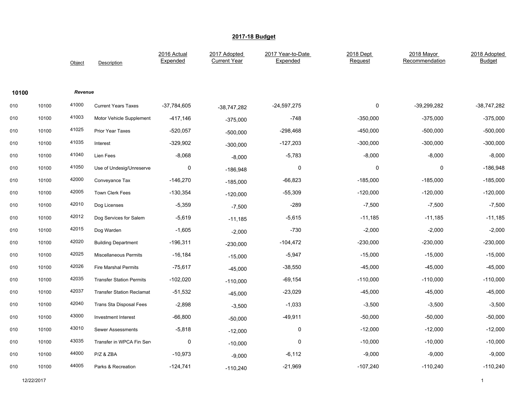|       |       | Object  | Description                      | 2016 Actual<br>Expended | 2017 Adopted<br><b>Current Year</b> | 2017 Year-to-Date<br>Expended | 2018 Dept<br>Request | 2018 Mayor<br>Recommendation | 2018 Adopted<br><b>Budget</b> |
|-------|-------|---------|----------------------------------|-------------------------|-------------------------------------|-------------------------------|----------------------|------------------------------|-------------------------------|
| 10100 |       | Revenue |                                  |                         |                                     |                               |                      |                              |                               |
| 010   | 10100 | 41000   | <b>Current Years Taxes</b>       | $-37,784,605$           | $-38,747,282$                       | $-24,597,275$                 | 0                    | $-39,299,282$                | -38,747,282                   |
| 010   | 10100 | 41003   | Motor Vehicle Supplement         | -417,146                | $-375,000$                          | -748                          | $-350,000$           | $-375,000$                   | $-375,000$                    |
| 010   | 10100 | 41025   | <b>Prior Year Taxes</b>          | $-520,057$              | $-500,000$                          | $-298,468$                    | $-450,000$           | $-500,000$                   | $-500,000$                    |
| 010   | 10100 | 41035   | Interest                         | $-329,902$              | $-300,000$                          | $-127,203$                    | $-300,000$           | $-300,000$                   | $-300,000$                    |
| 010   | 10100 | 41040   | Lien Fees                        | $-8,068$                | $-8,000$                            | $-5,783$                      | $-8,000$             | $-8,000$                     | $-8,000$                      |
| 010   | 10100 | 41050   | Use of Undesig/Unreserve         | 0                       | $-186,948$                          | $\pmb{0}$                     | $\mathsf 0$          | 0                            | $-186,948$                    |
| 010   | 10100 | 42000   | Conveyance Tax                   | $-146,270$              | $-185,000$                          | $-66,823$                     | $-185,000$           | $-185,000$                   | $-185,000$                    |
| 010   | 10100 | 42005   | <b>Town Clerk Fees</b>           | $-130,354$              | $-120,000$                          | $-55,309$                     | $-120,000$           | $-120,000$                   | $-120,000$                    |
| 010   | 10100 | 42010   | Dog Licenses                     | $-5,359$                | $-7,500$                            | $-289$                        | $-7,500$             | $-7,500$                     | $-7,500$                      |
| 010   | 10100 | 42012   | Dog Services for Salem           | $-5,619$                | $-11,185$                           | $-5,615$                      | $-11,185$            | $-11,185$                    | $-11,185$                     |
| 010   | 10100 | 42015   | Dog Warden                       | $-1,605$                | $-2,000$                            | $-730$                        | $-2,000$             | $-2,000$                     | $-2,000$                      |
| 010   | 10100 | 42020   | <b>Building Department</b>       | $-196,311$              | $-230,000$                          | $-104,472$                    | $-230,000$           | $-230,000$                   | $-230,000$                    |
| 010   | 10100 | 42025   | <b>Miscellaneous Permits</b>     | $-16,184$               | $-15,000$                           | $-5,947$                      | $-15,000$            | $-15,000$                    | $-15,000$                     |
| 010   | 10100 | 42026   | <b>Fire Marshal Permits</b>      | $-75,617$               | $-45,000$                           | $-38,550$                     | $-45,000$            | $-45,000$                    | $-45,000$                     |
| 010   | 10100 | 42035   | <b>Transfer Station Permits</b>  | $-102,020$              | $-110,000$                          | $-69,154$                     | $-110,000$           | $-110,000$                   | $-110,000$                    |
| 010   | 10100 | 42037   | <b>Transfer Station Reclamat</b> | $-51,532$               | $-45,000$                           | $-23,029$                     | $-45,000$            | $-45,000$                    | $-45,000$                     |
| 010   | 10100 | 42040   | <b>Trans Sta Disposal Fees</b>   | $-2,898$                | $-3,500$                            | $-1,033$                      | $-3,500$             | $-3,500$                     | $-3,500$                      |
| 010   | 10100 | 43000   | Investment Interest              | $-66,800$               | $-50,000$                           | $-49,911$                     | $-50,000$            | $-50,000$                    | $-50,000$                     |
| 010   | 10100 | 43010   | <b>Sewer Assessments</b>         | $-5,818$                | $-12,000$                           | 0                             | $-12,000$            | $-12,000$                    | $-12,000$                     |
| 010   | 10100 | 43035   | Transfer in WPCA Fin Sen         | 0                       | $-10,000$                           | $\pmb{0}$                     | $-10,000$            | $-10,000$                    | $-10,000$                     |
| 010   | 10100 | 44000   | P/Z & ZBA                        | $-10,973$               | $-9,000$                            | $-6,112$                      | $-9,000$             | $-9,000$                     | $-9,000$                      |
| 010   | 10100 | 44005   | Parks & Recreation               | $-124,741$              | $-110,240$                          | $-21,969$                     | $-107,240$           | $-110,240$                   | $-110,240$                    |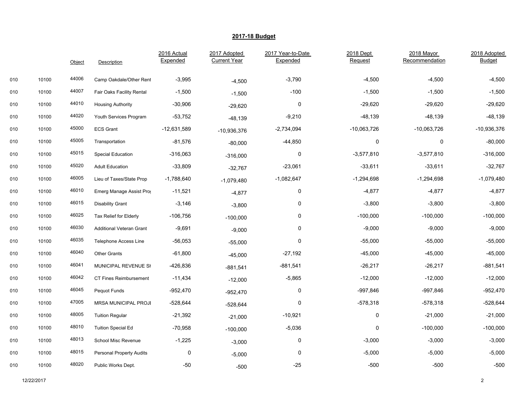|     |       | Object | Description                     | 2016 Actual<br>Expended | 2017 Adopted<br><b>Current Year</b> | 2017 Year-to-Date<br>Expended | 2018 Dept<br>Request | 2018 Mayor<br>Recommendation | 2018 Adopted<br><b>Budget</b> |
|-----|-------|--------|---------------------------------|-------------------------|-------------------------------------|-------------------------------|----------------------|------------------------------|-------------------------------|
| 010 | 10100 | 44006  | Camp Oakdale/Other Rent         | $-3,995$                | $-4,500$                            | $-3,790$                      | $-4,500$             | $-4,500$                     | $-4,500$                      |
| 010 | 10100 | 44007  | Fair Oaks Facility Rental       | $-1,500$                | $-1,500$                            | $-100$                        | $-1,500$             | $-1,500$                     | $-1,500$                      |
| 010 | 10100 | 44010  | <b>Housing Authority</b>        | $-30,906$               | $-29,620$                           | $\pmb{0}$                     | $-29,620$            | $-29,620$                    | $-29,620$                     |
| 010 | 10100 | 44020  | Youth Services Program          | $-53,752$               | $-48,139$                           | $-9,210$                      | $-48,139$            | $-48,139$                    | $-48,139$                     |
| 010 | 10100 | 45000  | <b>ECS Grant</b>                | $-12,631,589$           | $-10,936,376$                       | $-2,734,094$                  | $-10,063,726$        | $-10,063,726$                | $-10,936,376$                 |
| 010 | 10100 | 45005  | Transportation                  | $-81,576$               | $-80,000$                           | $-44,850$                     | 0                    | 0                            | $-80,000$                     |
| 010 | 10100 | 45015  | Special Education               | -316,063                | $-316,000$                          | 0                             | $-3,577,810$         | $-3,577,810$                 | $-316,000$                    |
| 010 | 10100 | 45020  | <b>Adult Education</b>          | $-33,809$               | $-32,767$                           | $-23,061$                     | $-33,611$            | $-33,611$                    | $-32,767$                     |
| 010 | 10100 | 46005  | Lieu of Taxes/State Prop        | $-1,788,640$            | $-1,079,480$                        | $-1,082,647$                  | $-1,294,698$         | $-1,294,698$                 | $-1,079,480$                  |
| 010 | 10100 | 46010  | Emerg Manage Assist Prog        | $-11,521$               | $-4,877$                            | $\pmb{0}$                     | $-4,877$             | -4,877                       | $-4,877$                      |
| 010 | 10100 | 46015  | <b>Disability Grant</b>         | $-3,146$                |                                     | 0                             | $-3,800$             | $-3,800$                     | $-3,800$                      |
|     |       | 46025  |                                 |                         | $-3,800$                            | 0                             |                      |                              |                               |
| 010 | 10100 | 46030  | Tax Relief for Elderly          | $-106,756$              | $-100,000$                          |                               | $-100,000$           | $-100,000$                   | $-100,000$                    |
| 010 | 10100 |        | <b>Additional Veteran Grant</b> | $-9,691$                | $-9,000$                            | $\pmb{0}$                     | $-9,000$             | $-9,000$                     | $-9,000$                      |
| 010 | 10100 | 46035  | <b>Telephone Access Line</b>    | $-56,053$               | $-55,000$                           | $\mathbf 0$                   | $-55,000$            | $-55,000$                    | $-55,000$                     |
| 010 | 10100 | 46040  | <b>Other Grants</b>             | $-61,800$               | $-45,000$                           | $-27,192$                     | $-45,000$            | $-45,000$                    | $-45,000$                     |
| 010 | 10100 | 46041  | MUNICIPAL REVENUE SH            | -426,836                | $-881,541$                          | $-881,541$                    | $-26,217$            | $-26,217$                    | $-881,541$                    |
| 010 | 10100 | 46042  | CT Fines Reimbursement          | $-11,434$               | $-12,000$                           | $-5,865$                      | $-12,000$            | $-12,000$                    | $-12,000$                     |
| 010 | 10100 | 46045  | Pequot Funds                    | -952,470                | $-952,470$                          | 0                             | -997,846             | -997,846                     | $-952,470$                    |
| 010 | 10100 | 47005  | <b>MRSA MUNICIPAL PROJI</b>     | $-528,644$              | $-528,644$                          | $\mathbf 0$                   | $-578,318$           | $-578,318$                   | $-528,644$                    |
| 010 | 10100 | 48005  | <b>Tuition Regular</b>          | $-21,392$               | $-21,000$                           | $-10,921$                     | 0                    | $-21,000$                    | $-21,000$                     |
| 010 | 10100 | 48010  | <b>Tuition Special Ed</b>       | $-70,958$               | $-100,000$                          | $-5,036$                      | 0                    | $-100,000$                   | $-100,000$                    |
| 010 | 10100 | 48013  | School Misc Revenue             | $-1,225$                | $-3,000$                            | 0                             | $-3,000$             | $-3,000$                     | $-3,000$                      |
| 010 | 10100 | 48015  | <b>Personal Property Audits</b> | 0                       | $-5,000$                            | $\mathbf 0$                   | $-5,000$             | $-5,000$                     | $-5,000$                      |
| 010 | 10100 | 48020  | Public Works Dept.              | $-50$                   | $-500$                              | $-25$                         | $-500$               | $-500$                       | $-500$                        |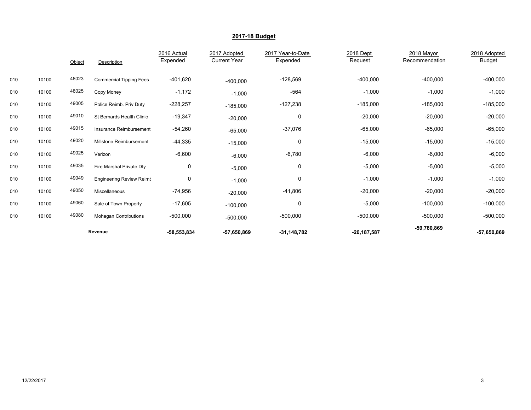|     |       | Object | Description                     | 2016 Actual<br>Expended | 2017 Adopted<br><b>Current Year</b> | 2017 Year-to-Date<br>Expended | 2018 Dept<br>Request | 2018 Mayor<br>Recommendation | 2018 Adopted<br><b>Budget</b> |
|-----|-------|--------|---------------------------------|-------------------------|-------------------------------------|-------------------------------|----------------------|------------------------------|-------------------------------|
| 010 | 10100 | 48023  | <b>Commercial Tipping Fees</b>  | $-401,620$              | $-400,000$                          | $-128,569$                    | $-400,000$           | $-400,000$                   | $-400,000$                    |
| 010 | 10100 | 48025  | Copy Money                      | $-1,172$                | $-1,000$                            | $-564$                        | $-1,000$             | $-1,000$                     | $-1,000$                      |
| 010 | 10100 | 49005  | Police Reimb. Priv Duty         | $-228,257$              | $-185,000$                          | $-127,238$                    | $-185,000$           | $-185,000$                   | $-185,000$                    |
| 010 | 10100 | 49010  | St Bernards Health Clinic       | $-19,347$               | $-20,000$                           | 0                             | $-20,000$            | $-20,000$                    | $-20,000$                     |
| 010 | 10100 | 49015  | Insurance Reimbursement         | $-54,260$               | $-65,000$                           | $-37,076$                     | $-65,000$            | $-65,000$                    | $-65,000$                     |
| 010 | 10100 | 49020  | Millstone Reimbursement         | $-44,335$               | $-15,000$                           | 0                             | $-15,000$            | $-15,000$                    | $-15,000$                     |
| 010 | 10100 | 49025  | Verizon                         | $-6,600$                | $-6,000$                            | $-6,780$                      | $-6,000$             | $-6,000$                     | $-6,000$                      |
| 010 | 10100 | 49035  | Fire Marshal Private Dty        | 0                       | $-5,000$                            | 0                             | $-5,000$             | $-5,000$                     | $-5,000$                      |
| 010 | 10100 | 49049  | <b>Engineering Review Reimt</b> | 0                       | $-1,000$                            | 0                             | $-1,000$             | $-1,000$                     | $-1,000$                      |
| 010 | 10100 | 49050  | Miscellaneous                   | $-74,956$               | $-20,000$                           | $-41,806$                     | $-20,000$            | $-20,000$                    | $-20,000$                     |
| 010 | 10100 | 49060  | Sale of Town Property           | $-17,605$               | $-100,000$                          | 0                             | $-5,000$             | $-100,000$                   | $-100,000$                    |
| 010 | 10100 | 49080  | <b>Mohegan Contributions</b>    | $-500,000$              | $-500,000$                          | $-500,000$                    | $-500,000$           | $-500,000$                   | $-500,000$                    |
|     |       |        | Revenue                         | $-58,553,834$           | $-57,650,869$                       | $-31,148,782$                 | $-20, 187, 587$      | -59,780,869                  | $-57,650,869$                 |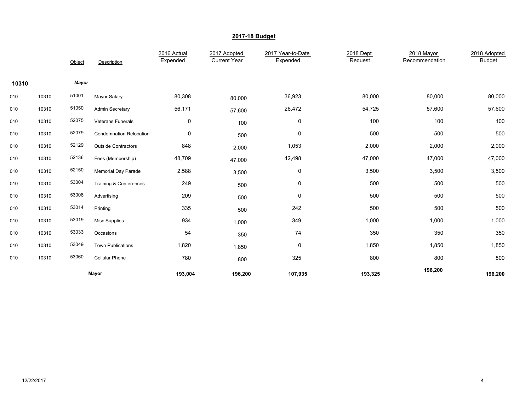|       |       | Object | Description                    | 2016 Actual<br>Expended | 2017 Adopted<br><b>Current Year</b> | 2017 Year-to-Date<br>Expended | 2018 Dept<br>Request | 2018 Mayor<br>Recommendation | 2018 Adopted<br><b>Budget</b> |
|-------|-------|--------|--------------------------------|-------------------------|-------------------------------------|-------------------------------|----------------------|------------------------------|-------------------------------|
| 10310 |       | Mayor  |                                |                         |                                     |                               |                      |                              |                               |
| 010   | 10310 | 51001  | <b>Mayor Salary</b>            | 80,308                  | 80,000                              | 36,923                        | 80,000               | 80,000                       | 80,000                        |
| 010   | 10310 | 51050  | <b>Admin Secretary</b>         | 56,171                  | 57,600                              | 26,472                        | 54,725               | 57,600                       | 57,600                        |
| 010   | 10310 | 52075  | <b>Veterans Funerals</b>       | 0                       | 100                                 | 0                             | 100                  | 100                          | 100                           |
| 010   | 10310 | 52079  | <b>Condemnation Relocation</b> | 0                       | 500                                 | 0                             | 500                  | 500                          | 500                           |
| 010   | 10310 | 52129  | <b>Outside Contractors</b>     | 848                     | 2,000                               | 1,053                         | 2,000                | 2,000                        | 2,000                         |
| 010   | 10310 | 52136  | Fees (Membership)              | 48,709                  | 47,000                              | 42,498                        | 47,000               | 47,000                       | 47,000                        |
| 010   | 10310 | 52150  | Memorial Day Parade            | 2,588                   | 3,500                               | $\pmb{0}$                     | 3,500                | 3,500                        | 3,500                         |
| 010   | 10310 | 53004  | Training & Conferences         | 249                     | 500                                 | $\pmb{0}$                     | 500                  | 500                          | 500                           |
| 010   | 10310 | 53008  | Advertising                    | 209                     | 500                                 | 0                             | 500                  | 500                          | 500                           |
| 010   | 10310 | 53014  | Printing                       | 335                     | 500                                 | 242                           | 500                  | 500                          | 500                           |
| 010   | 10310 | 53019  | <b>Misc Supplies</b>           | 934                     | 1,000                               | 349                           | 1,000                | 1,000                        | 1,000                         |
| 010   | 10310 | 53033  | Occasions                      | 54                      | 350                                 | 74                            | 350                  | 350                          | 350                           |
| 010   | 10310 | 53049  | <b>Town Publications</b>       | 1,820                   | 1,850                               | 0                             | 1,850                | 1,850                        | 1,850                         |
| 010   | 10310 | 53060  | <b>Cellular Phone</b>          | 780                     | 800                                 | 325                           | 800                  | 800                          | 800                           |
|       |       |        | Mayor                          | 193,004                 | 196,200                             | 107,935                       | 193,325              | 196,200                      | 196,200                       |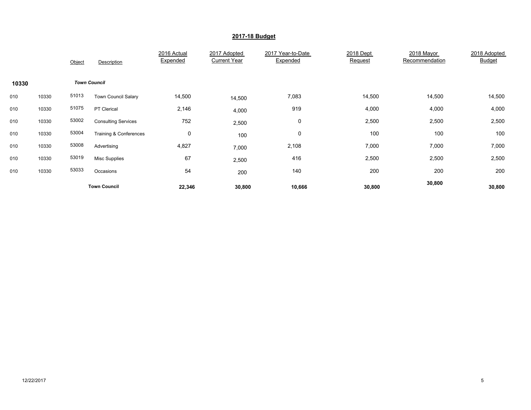|       |       | Object | Description                       | 2016 Actual<br>Expended | 2017 Adopted<br><b>Current Year</b> | 2017 Year-to-Date<br>Expended | 2018 Dept<br>Request | 2018 Mayor<br>Recommendation | 2018 Adopted<br><b>Budget</b> |
|-------|-------|--------|-----------------------------------|-------------------------|-------------------------------------|-------------------------------|----------------------|------------------------------|-------------------------------|
| 10330 |       |        | <b>Town Council</b>               |                         |                                     |                               |                      |                              |                               |
| 010   | 10330 | 51013  | <b>Town Council Salary</b>        | 14,500                  | 14,500                              | 7,083                         | 14,500               | 14,500                       | 14,500                        |
| 010   | 10330 | 51075  | PT Clerical                       | 2,146                   | 4,000                               | 919                           | 4,000                | 4,000                        | 4,000                         |
| 010   | 10330 | 53002  | <b>Consulting Services</b>        | 752                     | 2,500                               | 0                             | 2,500                | 2,500                        | 2,500                         |
| 010   | 10330 | 53004  | <b>Training &amp; Conferences</b> | $\mathbf 0$             | 100                                 | 0                             | 100                  | 100                          | 100                           |
| 010   | 10330 | 53008  | Advertising                       | 4,827                   | 7,000                               | 2,108                         | 7,000                | 7,000                        | 7,000                         |
| 010   | 10330 | 53019  | <b>Misc Supplies</b>              | 67                      | 2,500                               | 416                           | 2,500                | 2,500                        | 2,500                         |
| 010   | 10330 | 53033  | Occasions                         | 54                      | 200                                 | 140                           | 200                  | 200                          | 200                           |
|       |       |        | <b>Town Council</b>               | 22,346                  | 30,800                              | 10,666                        | 30,800               | 30,800                       | 30,800                        |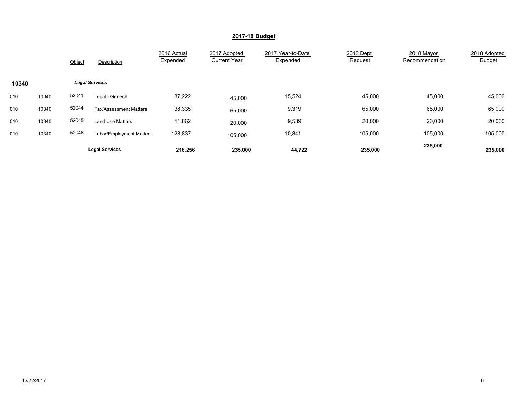|       |       | Object | Description                   | 2016 Actual<br>Expended | 2017 Adopted<br><b>Current Year</b> | 2017 Year-to-Date<br>Expended | 2018 Dept<br>Request | 2018 Mayor<br>Recommendation | 2018 Adopted<br><b>Budget</b> |
|-------|-------|--------|-------------------------------|-------------------------|-------------------------------------|-------------------------------|----------------------|------------------------------|-------------------------------|
| 10340 |       |        | <b>Legal Services</b>         |                         |                                     |                               |                      |                              |                               |
| 010   | 10340 | 52041  | Legal - General               | 37,222                  | 45,000                              | 15,524                        | 45,000               | 45,000                       | 45,000                        |
| 010   | 10340 | 52044  | <b>Tax/Assessment Matters</b> | 38,335                  | 65,000                              | 9,319                         | 65,000               | 65,000                       | 65,000                        |
| 010   | 10340 | 52045  | <b>Land Use Matters</b>       | 11,862                  | 20,000                              | 9,539                         | 20,000               | 20,000                       | 20,000                        |
| 010   | 10340 | 52046  | Labor/Employment Matters      | 128,837                 | 105,000                             | 10,341                        | 105.000              | 105.000                      | 105,000                       |
|       |       |        | <b>Legal Services</b>         | 216,256                 | 235,000                             | 44,722                        | 235,000              | 235,000                      | 235,000                       |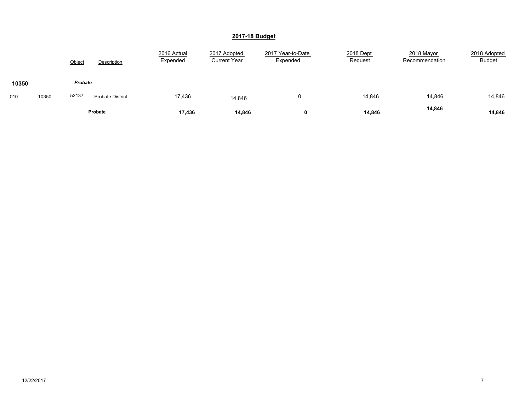|       |       | Object  | Description             | 2016 Actual<br>Expended | 2017 Adopted<br><b>Current Year</b> | 2017 Year-to-Date<br>Expended | 2018 Dept<br>Request | 2018 Mayor<br>Recommendation | 2018 Adopted<br><b>Budget</b> |
|-------|-------|---------|-------------------------|-------------------------|-------------------------------------|-------------------------------|----------------------|------------------------------|-------------------------------|
| 10350 |       | Probate |                         |                         |                                     |                               |                      |                              |                               |
| 010   | 10350 | 52137   | <b>Probate District</b> | 17,436                  | 14,846                              | 0                             | 14,846               | 14,846                       | 14,846                        |
|       |       |         | Probate                 | 17,436                  | 14,846                              | 0                             | 14,846               | 14,846                       | 14,846                        |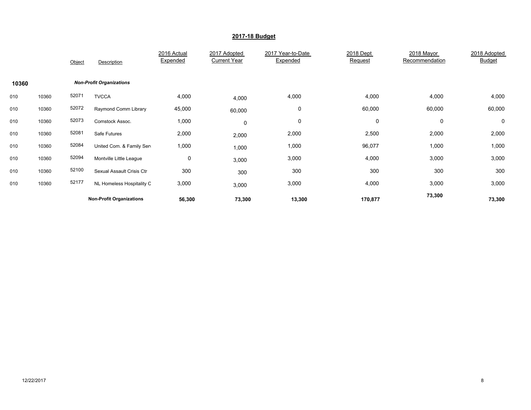|       |       | Object | Description                     | 2016 Actual<br>Expended | 2017 Adopted<br><b>Current Year</b> | 2017 Year-to-Date<br>Expended | 2018 Dept<br>Request | 2018 Mayor<br>Recommendation | 2018 Adopted<br><b>Budget</b> |
|-------|-------|--------|---------------------------------|-------------------------|-------------------------------------|-------------------------------|----------------------|------------------------------|-------------------------------|
| 10360 |       |        | <b>Non-Profit Organizations</b> |                         |                                     |                               |                      |                              |                               |
| 010   | 10360 | 52071  | <b>TVCCA</b>                    | 4,000                   | 4,000                               | 4,000                         | 4,000                | 4,000                        | 4,000                         |
| 010   | 10360 | 52072  | Raymond Comm Library            | 45,000                  | 60,000                              | 0                             | 60,000               | 60,000                       | 60,000                        |
| 010   | 10360 | 52073  | Comstock Assoc.                 | 1,000                   | 0                                   | 0                             | 0                    | $\mathbf 0$                  | 0                             |
| 010   | 10360 | 52081  | Safe Futures                    | 2,000                   | 2,000                               | 2,000                         | 2,500                | 2,000                        | 2,000                         |
| 010   | 10360 | 52084  | United Com. & Family Sen        | 1,000                   | 1,000                               | 1,000                         | 96,077               | 1,000                        | 1,000                         |
| 010   | 10360 | 52094  | Montville Little League         | 0                       | 3,000                               | 3,000                         | 4,000                | 3,000                        | 3,000                         |
| 010   | 10360 | 52100  | Sexual Assault Crisis Ctr       | 300                     | 300                                 | 300                           | 300                  | 300                          | 300                           |
| 010   | 10360 | 52177  | NL Homeless Hospitality C       | 3,000                   | 3,000                               | 3,000                         | 4,000                | 3,000                        | 3,000                         |
|       |       |        | <b>Non-Profit Organizations</b> | 56,300                  | 73,300                              | 13,300                        | 170,877              | 73,300                       | 73,300                        |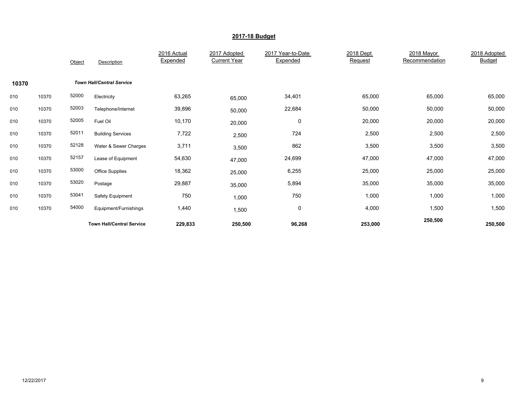|       |       | Object | Description                      | 2016 Actual<br>Expended | 2017 Adopted<br><b>Current Year</b> | 2017 Year-to-Date<br>Expended | 2018 Dept<br>Request | 2018 Mayor<br>Recommendation | 2018 Adopted<br><b>Budget</b> |
|-------|-------|--------|----------------------------------|-------------------------|-------------------------------------|-------------------------------|----------------------|------------------------------|-------------------------------|
| 10370 |       |        | <b>Town Hall/Central Service</b> |                         |                                     |                               |                      |                              |                               |
| 010   | 10370 | 52000  | Electricity                      | 63,265                  | 65,000                              | 34,401                        | 65,000               | 65,000                       | 65,000                        |
| 010   | 10370 | 52003  | Telephone/Internet               | 39,896                  | 50,000                              | 22,684                        | 50,000               | 50,000                       | 50,000                        |
| 010   | 10370 | 52005  | Fuel Oil                         | 10,170                  | 20,000                              | $\mathbf 0$                   | 20,000               | 20,000                       | 20,000                        |
| 010   | 10370 | 52011  | <b>Building Services</b>         | 7,722                   | 2,500                               | 724                           | 2,500                | 2,500                        | 2,500                         |
| 010   | 10370 | 52128  | Water & Sewer Charges            | 3,711                   | 3,500                               | 862                           | 3,500                | 3,500                        | 3,500                         |
| 010   | 10370 | 52157  | Lease of Equipment               | 54,630                  | 47,000                              | 24,699                        | 47,000               | 47,000                       | 47,000                        |
| 010   | 10370 | 53000  | <b>Office Supplies</b>           | 18,362                  | 25,000                              | 6,255                         | 25,000               | 25,000                       | 25,000                        |
| 010   | 10370 | 53020  | Postage                          | 29,887                  | 35,000                              | 5,894                         | 35,000               | 35,000                       | 35,000                        |
| 010   | 10370 | 53041  | Safety Equipment                 | 750                     | 1,000                               | 750                           | 1,000                | 1,000                        | 1,000                         |
| 010   | 10370 | 54000  | Equipment/Furnishings            | 1,440                   | 1,500                               | 0                             | 4,000                | 1,500                        | 1,500                         |
|       |       |        | <b>Town Hall/Central Service</b> | 229,833                 | 250,500                             | 96,268                        | 253,000              | 250,500                      | 250,500                       |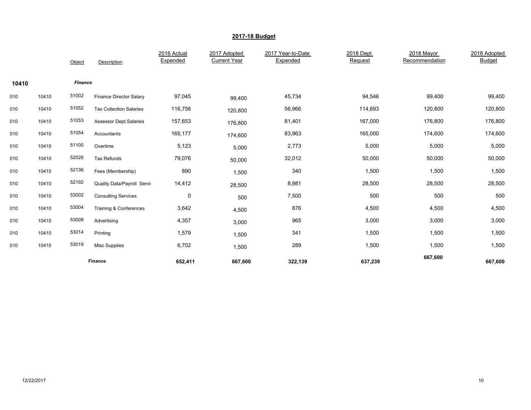|       |       |                | Finance                            | 652,411                 | 667,600                             | 322,139                       | 637,239              | 667,600                      | 667,600                       |
|-------|-------|----------------|------------------------------------|-------------------------|-------------------------------------|-------------------------------|----------------------|------------------------------|-------------------------------|
| 010   | 10410 | 53019          | <b>Misc Supplies</b>               | 6,702                   | 1,500                               | 289                           | 1,500                | 1,500                        | 1,500                         |
| 010   | 10410 | 53014          | Printing                           | 1,579                   | 1,500                               | 341                           | 1,500                | 1,500                        | 1,500                         |
| 010   | 10410 | 53008          | Advertising                        | 4,357                   | 3,000                               | 965                           | 3,000                | 3,000                        | 3,000                         |
| 010   | 10410 | 53004          | Training & Conferences             | 3,642                   | 4,500                               | 876                           | 4,500                | 4,500                        | 4,500                         |
| 010   | 10410 | 53002          | <b>Consulting Services</b>         | $\pmb{0}$               | 500                                 | 7,500                         | 500                  | 500                          | 500                           |
| 010   | 10410 | 52192          | <b>Quality Data/Payroll Servic</b> | 14,412                  | 28,500                              | 8,981                         | 28,500               | 28,500                       | 28,500                        |
| 010   | 10410 | 52136          | Fees (Membership)                  | 890                     | 1,500                               | 340                           | 1,500                | 1,500                        | 1,500                         |
| 010   | 10410 | 52026          | Tax Refunds                        | 79,076                  | 50,000                              | 32,012                        | 50,000               | 50,000                       | 50,000                        |
| 010   | 10410 | 51100          | Overtime                           | 5,123                   | 5,000                               | 2,773                         | 5,000                | 5,000                        | 5,000                         |
| 010   | 10410 | 51054          | Accountants                        | 165,177                 | 174,600                             | 83,963                        | 165,000              | 174,600                      | 174,600                       |
| 010   | 10410 | 51053          | <b>Assessor Dept.Salaries</b>      | 157,653                 | 176,800                             | 81,401                        | 167,000              | 176,800                      | 176,800                       |
| 010   | 10410 | 51052          | <b>Tax Collection Salaries</b>     | 116,756                 | 120,800                             | 56,966                        | 114,693              | 120,800                      | 120,800                       |
| 010   | 10410 | 51002          | Finance Director Salary            | 97,045                  | 99,400                              | 45,734                        | 94,546               | 99,400                       | 99,400                        |
| 10410 |       | <b>Finance</b> |                                    |                         |                                     |                               |                      |                              |                               |
|       |       | Object         | Description                        | 2016 Actual<br>Expended | 2017 Adopted<br><b>Current Year</b> | 2017 Year-to-Date<br>Expended | 2018 Dept<br>Request | 2018 Mayor<br>Recommendation | 2018 Adopted<br><b>Budget</b> |
|       |       |                |                                    |                         |                                     |                               |                      |                              |                               |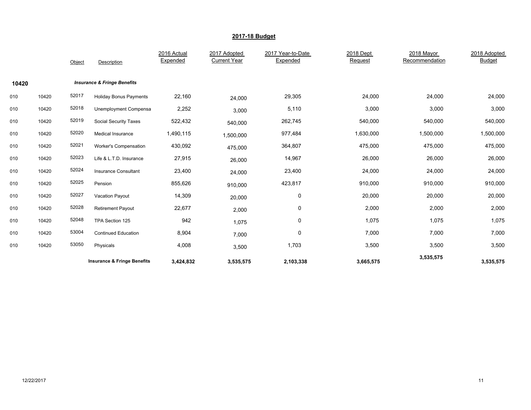|       |       | Object | Description                            | 2016 Actual<br>Expended | 2017 Adopted<br><b>Current Year</b> | 2017 Year-to-Date<br>Expended | 2018 Dept<br>Request | 2018 Mayor<br>Recommendation | 2018 Adopted<br><b>Budget</b> |
|-------|-------|--------|----------------------------------------|-------------------------|-------------------------------------|-------------------------------|----------------------|------------------------------|-------------------------------|
| 10420 |       |        | <b>Insurance &amp; Fringe Benefits</b> |                         |                                     |                               |                      |                              |                               |
| 010   | 10420 | 52017  | <b>Holiday Bonus Payments</b>          | 22,160                  | 24,000                              | 29,305                        | 24,000               | 24,000                       | 24,000                        |
| 010   | 10420 | 52018  | Unemployment Compensa                  | 2,252                   | 3,000                               | 5,110                         | 3,000                | 3,000                        | 3,000                         |
| 010   | 10420 | 52019  | <b>Social Security Taxes</b>           | 522,432                 | 540,000                             | 262,745                       | 540,000              | 540,000                      | 540,000                       |
| 010   | 10420 | 52020  | <b>Medical Insurance</b>               | 1,490,115               | 1,500,000                           | 977,484                       | 1,630,000            | 1,500,000                    | 1,500,000                     |
| 010   | 10420 | 52021  | Worker's Compensation                  | 430,092                 | 475,000                             | 364,807                       | 475,000              | 475,000                      | 475,000                       |
| 010   | 10420 | 52023  | Life & L.T.D. Insurance                | 27,915                  | 26,000                              | 14,967                        | 26,000               | 26,000                       | 26,000                        |
| 010   | 10420 | 52024  | Insurance Consultant                   | 23,400                  | 24,000                              | 23,400                        | 24,000               | 24,000                       | 24,000                        |
| 010   | 10420 | 52025  | Pension                                | 855,626                 | 910,000                             | 423,817                       | 910,000              | 910,000                      | 910,000                       |
| 010   | 10420 | 52027  | Vacation Payout                        | 14,309                  | 20,000                              | 0                             | 20,000               | 20,000                       | 20,000                        |
| 010   | 10420 | 52028  | <b>Retirement Payout</b>               | 22,677                  | 2,000                               | 0                             | 2,000                | 2,000                        | 2,000                         |
| 010   | 10420 | 52048  | TPA Section 125                        | 942                     | 1,075                               | 0                             | 1,075                | 1,075                        | 1,075                         |
| 010   | 10420 | 53004  | <b>Continued Education</b>             | 8,904                   | 7,000                               | 0                             | 7,000                | 7,000                        | 7,000                         |
| 010   | 10420 | 53050  | Physicals                              | 4,008                   | 3,500                               | 1,703                         | 3,500                | 3,500                        | 3,500                         |
|       |       |        | <b>Insurance &amp; Fringe Benefits</b> | 3,424,832               | 3,535,575                           | 2,103,338                     | 3,665,575            | 3,535,575                    | 3,535,575                     |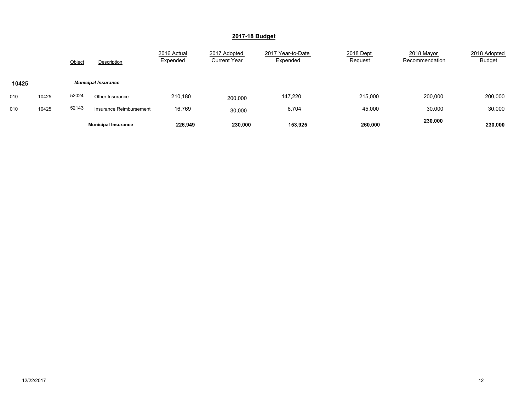|       |       | Object | Description                | 2016 Actual<br>Expended | 2017 Adopted<br><b>Current Year</b> | 2017 Year-to-Date<br>Expended | 2018 Dept<br>Request | 2018 Mayor<br>Recommendation | 2018 Adopted<br><b>Budget</b> |
|-------|-------|--------|----------------------------|-------------------------|-------------------------------------|-------------------------------|----------------------|------------------------------|-------------------------------|
| 10425 |       |        | <b>Municipal Insurance</b> |                         |                                     |                               |                      |                              |                               |
| 010   | 10425 | 52024  | Other Insurance            | 210,180                 | 200,000                             | 147,220                       | 215,000              | 200,000                      | 200,000                       |
| 010   | 10425 | 52143  | Insurance Reimbursement    | 16,769                  | 30,000                              | 6,704                         | 45,000               | 30,000                       | 30,000                        |
|       |       |        | <b>Municipal Insurance</b> | 226.949                 | 230,000                             | 153,925                       | 260,000              | 230,000                      | 230,000                       |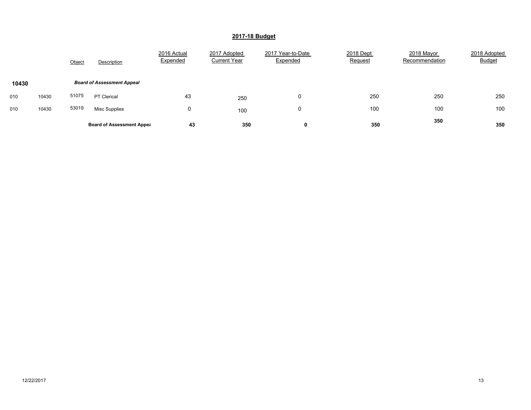|       |       | Object | Description                       | 2016 Actual<br>Expended | 2017 Adopted<br><b>Current Year</b> | 2017 Year-to-Date<br>Expended | 2018 Dept<br>Request | 2018 Mayor<br>Recommendation | 2018 Adopted<br><b>Budget</b> |
|-------|-------|--------|-----------------------------------|-------------------------|-------------------------------------|-------------------------------|----------------------|------------------------------|-------------------------------|
| 10430 |       |        | <b>Board of Assessment Appeal</b> |                         |                                     |                               |                      |                              |                               |
| 010   | 10430 | 51075  | PT Clerical                       | 43                      | 250                                 | 0                             | 250                  | 250                          | 250                           |
| 010   | 10430 | 53019  | <b>Misc Supplies</b>              | 0                       | 100                                 | 0                             | 100                  | 100                          | 100                           |
|       |       |        | <b>Board of Assessment Appea</b>  | 43                      | 350                                 | 0                             | 350                  | 350                          | 350                           |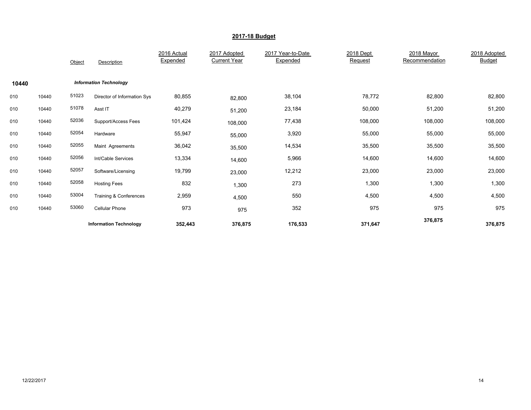|       |       | Object | Description                   | 2016 Actual<br>Expended | 2017 Adopted<br><b>Current Year</b> | 2017 Year-to-Date<br>Expended | 2018 Dept<br>Request | 2018 Mayor<br>Recommendation | 2018 Adopted<br><b>Budget</b> |
|-------|-------|--------|-------------------------------|-------------------------|-------------------------------------|-------------------------------|----------------------|------------------------------|-------------------------------|
| 10440 |       |        | <b>Information Technology</b> |                         |                                     |                               |                      |                              |                               |
| 010   | 10440 | 51023  | Director of Information Sys   | 80,855                  | 82,800                              | 38,104                        | 78,772               | 82,800                       | 82,800                        |
| 010   | 10440 | 51078  | Asst IT                       | 40,279                  | 51,200                              | 23,184                        | 50,000               | 51,200                       | 51,200                        |
| 010   | 10440 | 52036  | Support/Access Fees           | 101,424                 | 108,000                             | 77,438                        | 108,000              | 108,000                      | 108,000                       |
| 010   | 10440 | 52054  | Hardware                      | 55,947                  | 55,000                              | 3,920                         | 55,000               | 55,000                       | 55,000                        |
| 010   | 10440 | 52055  | Maint Agreements              | 36,042                  | 35,500                              | 14,534                        | 35,500               | 35,500                       | 35,500                        |
| 010   | 10440 | 52056  | Int/Cable Services            | 13,334                  | 14,600                              | 5,966                         | 14,600               | 14,600                       | 14,600                        |
| 010   | 10440 | 52057  | Software/Licensing            | 19,799                  | 23,000                              | 12,212                        | 23,000               | 23,000                       | 23,000                        |
| 010   | 10440 | 52058  | <b>Hosting Fees</b>           | 832                     | 1,300                               | 273                           | 1,300                | 1,300                        | 1,300                         |
| 010   | 10440 | 53004  | Training & Conferences        | 2,959                   | 4,500                               | 550                           | 4,500                | 4,500                        | 4,500                         |
| 010   | 10440 | 53060  | <b>Cellular Phone</b>         | 973                     | 975                                 | 352                           | 975                  | 975                          | 975                           |
|       |       |        | <b>Information Technology</b> | 352,443                 | 376,875                             | 176,533                       | 371,647              | 376,875                      | 376,875                       |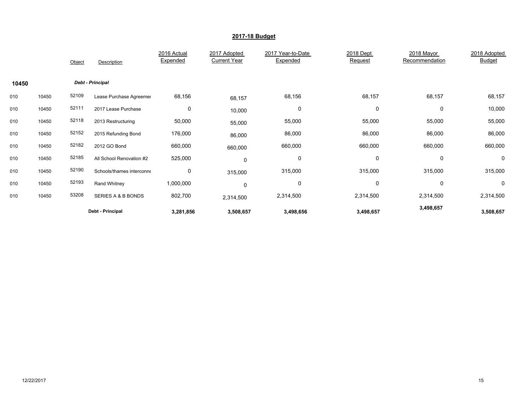|       |       | Object | Description               | 2016 Actual<br>Expended | 2017 Adopted<br><b>Current Year</b> | 2017 Year-to-Date<br>Expended | 2018 Dept<br>Request | 2018 Mayor<br>Recommendation | 2018 Adopted<br><b>Budget</b> |
|-------|-------|--------|---------------------------|-------------------------|-------------------------------------|-------------------------------|----------------------|------------------------------|-------------------------------|
| 10450 |       |        | <b>Debt - Principal</b>   |                         |                                     |                               |                      |                              |                               |
| 010   | 10450 | 52109  | Lease Purchase Agreemer   | 68,156                  | 68,157                              | 68,156                        | 68,157               | 68,157                       | 68,157                        |
| 010   | 10450 | 52111  | 2017 Lease Purchase       | 0                       | 10,000                              | 0                             | 0                    | 0                            | 10,000                        |
| 010   | 10450 | 52118  | 2013 Restructuring        | 50,000                  | 55,000                              | 55,000                        | 55,000               | 55,000                       | 55,000                        |
| 010   | 10450 | 52152  | 2015 Refunding Bond       | 176,000                 | 86,000                              | 86,000                        | 86,000               | 86,000                       | 86,000                        |
| 010   | 10450 | 52182  | 2012 GO Bond              | 660,000                 | 660,000                             | 660,000                       | 660,000              | 660,000                      | 660,000                       |
| 010   | 10450 | 52185  | All School Renovation #2  | 525,000                 | 0                                   | 0                             | 0                    | 0                            | 0                             |
| 010   | 10450 | 52190  | Schools/thames interconne | 0                       | 315,000                             | 315,000                       | 315,000              | 315,000                      | 315,000                       |
| 010   | 10450 | 52193  | Rand Whitney              | 1,000,000               | 0                                   | 0                             | 0                    | 0                            | 0                             |
| 010   | 10450 | 53208  | SERIES A & B BONDS        | 802,700                 | 2,314,500                           | 2,314,500                     | 2,314,500            | 2,314,500                    | 2,314,500                     |
|       |       |        | Debt - Principal          | 3,281,856               | 3,508,657                           | 3,498,656                     | 3,498,657            | 3,498,657                    | 3,508,657                     |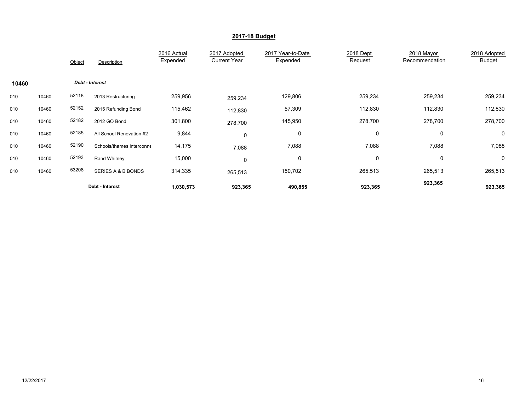|       |       | Object | Description               | 2016 Actual<br>Expended | 2017 Adopted<br><b>Current Year</b> | 2017 Year-to-Date<br>Expended | 2018 Dept<br>Request | 2018 Mayor<br>Recommendation | 2018 Adopted<br><b>Budget</b> |
|-------|-------|--------|---------------------------|-------------------------|-------------------------------------|-------------------------------|----------------------|------------------------------|-------------------------------|
| 10460 |       |        | Debt - Interest           |                         |                                     |                               |                      |                              |                               |
| 010   | 10460 | 52118  | 2013 Restructuring        | 259,956                 | 259,234                             | 129,806                       | 259,234              | 259,234                      | 259,234                       |
| 010   | 10460 | 52152  | 2015 Refunding Bond       | 115,462                 | 112,830                             | 57,309                        | 112,830              | 112,830                      | 112,830                       |
| 010   | 10460 | 52182  | 2012 GO Bond              | 301,800                 | 278,700                             | 145,950                       | 278,700              | 278,700                      | 278,700                       |
| 010   | 10460 | 52185  | All School Renovation #2  | 9,844                   | 0                                   | 0                             | 0                    | 0                            | 0                             |
| 010   | 10460 | 52190  | Schools/thames interconne | 14,175                  | 7,088                               | 7,088                         | 7,088                | 7,088                        | 7,088                         |
| 010   | 10460 | 52193  | Rand Whitney              | 15,000                  | 0                                   | 0                             | 0                    | 0                            | 0                             |
| 010   | 10460 | 53208  | SERIES A & B BONDS        | 314,335                 | 265,513                             | 150,702                       | 265,513              | 265,513                      | 265,513                       |
|       |       |        | Debt - Interest           | 1,030,573               | 923,365                             | 490,855                       | 923,365              | 923,365                      | 923,365                       |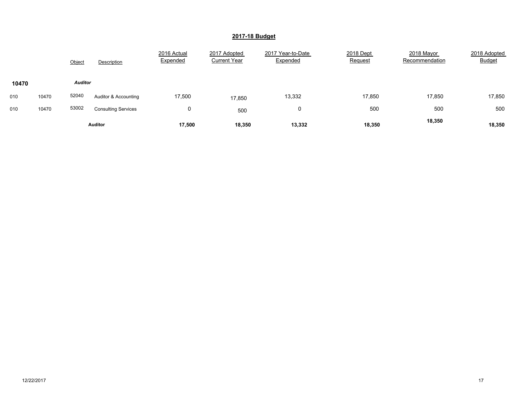|       |       | Object         | Description                | 2016 Actual<br>Expended | 2017 Adopted<br><b>Current Year</b> | 2017 Year-to-Date<br>Expended | 2018 Dept<br>Request | 2018 Mayor<br>Recommendation | 2018 Adopted<br><b>Budget</b> |
|-------|-------|----------------|----------------------------|-------------------------|-------------------------------------|-------------------------------|----------------------|------------------------------|-------------------------------|
| 10470 |       | <b>Auditor</b> |                            |                         |                                     |                               |                      |                              |                               |
| 010   | 10470 | 52040          | Auditor & Accounting       | 17,500                  | 17,850                              | 13,332                        | 17,850               | 17,850                       | 17,850                        |
| 010   | 10470 | 53002          | <b>Consulting Services</b> | 0                       | 500                                 | 0                             | 500                  | 500                          | 500                           |
|       |       |                | <b>Auditor</b>             | 17,500                  | 18,350                              | 13,332                        | 18,350               | 18,350                       | 18,350                        |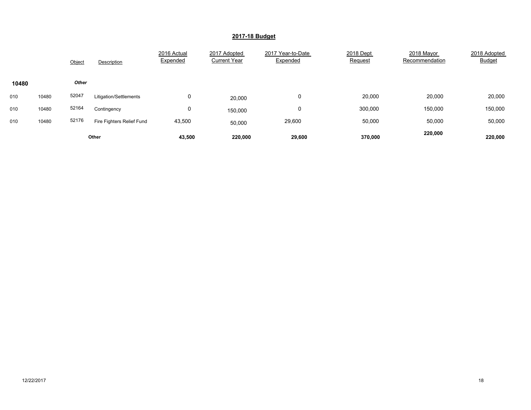|       |       | Object       | Description               | 2016 Actual<br>Expended | 2017 Adopted<br><b>Current Year</b> | 2017 Year-to-Date<br>Expended | 2018 Dept<br>Request | 2018 Mayor<br>Recommendation | 2018 Adopted<br><b>Budget</b> |
|-------|-------|--------------|---------------------------|-------------------------|-------------------------------------|-------------------------------|----------------------|------------------------------|-------------------------------|
| 10480 |       | <b>Other</b> |                           |                         |                                     |                               |                      |                              |                               |
| 010   | 10480 | 52047        | Litigation/Settlements    | 0                       | 20,000                              | 0                             | 20,000               | 20,000                       | 20,000                        |
| 010   | 10480 | 52164        | Contingency               | 0                       | 150,000                             | 0                             | 300,000              | 150,000                      | 150,000                       |
| 010   | 10480 | 52176        | Fire Fighters Relief Fund | 43,500                  | 50,000                              | 29,600                        | 50,000               | 50,000                       | 50,000                        |
|       |       |              | Other                     | 43,500                  | 220.000                             | 29,600                        | 370,000              | 220,000                      | 220.000                       |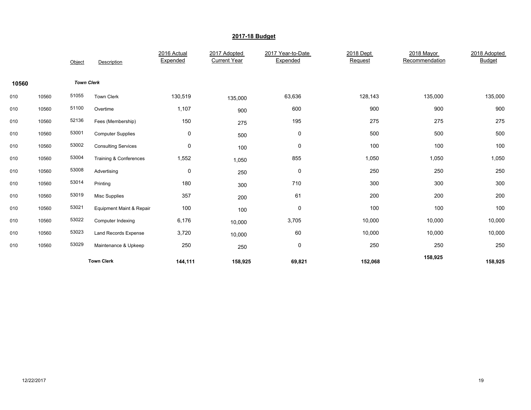|       |       | Object            | Description                         | 2016 Actual<br>Expended | 2017 Adopted<br><b>Current Year</b> | 2017 Year-to-Date<br>Expended | 2018 Dept<br>Request | 2018 Mayor<br>Recommendation | 2018 Adopted<br><b>Budget</b> |
|-------|-------|-------------------|-------------------------------------|-------------------------|-------------------------------------|-------------------------------|----------------------|------------------------------|-------------------------------|
| 10560 |       | <b>Town Clerk</b> |                                     |                         |                                     |                               |                      |                              |                               |
| 010   | 10560 | 51055             | <b>Town Clerk</b>                   | 130,519                 | 135,000                             | 63,636                        | 128,143              | 135,000                      | 135,000                       |
| 010   | 10560 | 51100             | Overtime                            | 1,107                   | 900                                 | 600                           | 900                  | 900                          | 900                           |
| 010   | 10560 | 52136             | Fees (Membership)                   | 150                     | 275                                 | 195                           | 275                  | 275                          | 275                           |
| 010   | 10560 | 53001             | <b>Computer Supplies</b>            | 0                       | 500                                 | 0                             | 500                  | 500                          | 500                           |
| 010   | 10560 | 53002             | <b>Consulting Services</b>          | 0                       | 100                                 | 0                             | 100                  | 100                          | 100                           |
| 010   | 10560 | 53004             | Training & Conferences              | 1,552                   | 1,050                               | 855                           | 1,050                | 1,050                        | 1,050                         |
| 010   | 10560 | 53008             | Advertising                         | 0                       | 250                                 | $\pmb{0}$                     | 250                  | 250                          | 250                           |
| 010   | 10560 | 53014             | Printing                            | 180                     | 300                                 | 710                           | 300                  | 300                          | 300                           |
| 010   | 10560 | 53019             | <b>Misc Supplies</b>                | 357                     | 200                                 | 61                            | 200                  | 200                          | 200                           |
| 010   | 10560 | 53021             | <b>Equipment Maint &amp; Repair</b> | 100                     | 100                                 | $\pmb{0}$                     | 100                  | 100                          | 100                           |
| 010   | 10560 | 53022             | Computer Indexing                   | 6,176                   | 10,000                              | 3,705                         | 10,000               | 10,000                       | 10,000                        |
| 010   | 10560 | 53023             | Land Records Expense                | 3,720                   | 10,000                              | 60                            | 10,000               | 10,000                       | 10,000                        |
| 010   | 10560 | 53029             | Maintenance & Upkeep                | 250                     | 250                                 | $\pmb{0}$                     | 250                  | 250                          | 250                           |
|       |       |                   | <b>Town Clerk</b>                   | 144,111                 | 158,925                             | 69,821                        | 152,068              | 158,925                      | 158,925                       |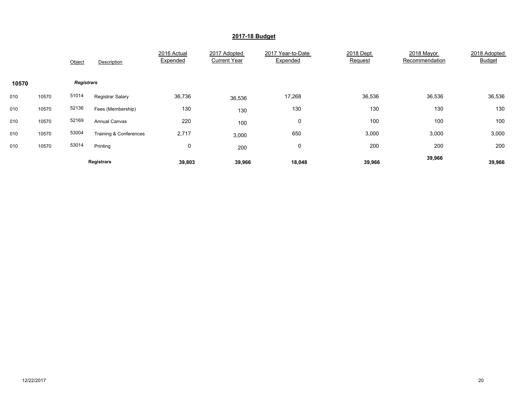|       |       | Object            | Description            | 2016 Actual<br>Expended | 2017 Adopted<br><b>Current Year</b> | 2017 Year-to-Date<br>Expended | 2018 Dept<br>Request | 2018 Mayor<br>Recommendation | 2018 Adopted<br><b>Budget</b> |
|-------|-------|-------------------|------------------------|-------------------------|-------------------------------------|-------------------------------|----------------------|------------------------------|-------------------------------|
| 10570 |       | <b>Registrars</b> |                        |                         |                                     |                               |                      |                              |                               |
| 010   | 10570 | 51014             | Registrar Salary       | 36,736                  | 36,536                              | 17,268                        | 36,536               | 36,536                       | 36,536                        |
| 010   | 10570 | 52136             | Fees (Membership)      | 130                     | 130                                 | 130                           | 130                  | 130                          | 130                           |
| 010   | 10570 | 52169             | <b>Annual Canvas</b>   | 220                     | 100                                 | 0                             | 100                  | 100                          | 100                           |
| 010   | 10570 | 53004             | Training & Conferences | 2,717                   | 3,000                               | 650                           | 3,000                | 3,000                        | 3,000                         |
| 010   | 10570 | 53014             | Printing               | 0                       | 200                                 | 0                             | 200                  | 200                          | 200                           |
|       |       |                   | <b>Registrars</b>      | 39,803                  | 39,966                              | 18,048                        | 39,966               | 39,966                       | 39,966                        |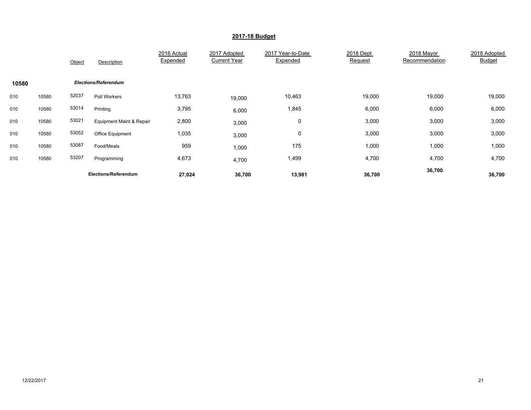|       |       | Object | Description                 | 2016 Actual<br>Expended | 2017 Adopted<br><b>Current Year</b> | 2017 Year-to-Date<br>Expended | 2018 Dept<br>Request | 2018 Mayor<br>Recommendation | 2018 Adopted<br>Budget |
|-------|-------|--------|-----------------------------|-------------------------|-------------------------------------|-------------------------------|----------------------|------------------------------|------------------------|
| 10580 |       |        | <b>Elections/Referendum</b> |                         |                                     |                               |                      |                              |                        |
| 010   | 10580 | 52037  | Poll Workers                | 13,763                  | 19,000                              | 10,463                        | 19,000               | 19,000                       | 19,000                 |
| 010   | 10580 | 53014  | Printing                    | 3,795                   | 6,000                               | 1,845                         | 6,000                | 6,000                        | 6,000                  |
| 010   | 10580 | 53021  | Equipment Maint & Repair    | 2,800                   | 3,000                               | 0                             | 3,000                | 3,000                        | 3,000                  |
| 010   | 10580 | 53052  | Office Equipment            | 1,035                   | 3,000                               | 0                             | 3,000                | 3,000                        | 3,000                  |
| 010   | 10580 | 53087  | Food/Meals                  | 959                     | 1,000                               | 175                           | 1,000                | 1,000                        | 1,000                  |
| 010   | 10580 | 53207  | Programming                 | 4,673                   | 4,700                               | 1,499                         | 4,700                | 4,700                        | 4,700                  |
|       |       |        | Elections/Referendum        | 27,024                  | 36,700                              | 13,981                        | 36,700               | 36,700                       | 36,700                 |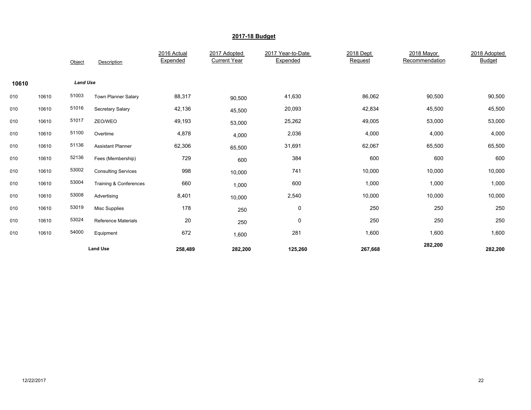|       |       | Object          | Description                | 2016 Actual<br>Expended | 2017 Adopted<br><b>Current Year</b> | 2017 Year-to-Date<br>Expended | 2018 Dept<br>Request | 2018 Mayor<br>Recommendation | 2018 Adopted<br><b>Budget</b> |
|-------|-------|-----------------|----------------------------|-------------------------|-------------------------------------|-------------------------------|----------------------|------------------------------|-------------------------------|
| 10610 |       | <b>Land Use</b> |                            |                         |                                     |                               |                      |                              |                               |
| 010   | 10610 | 51003           | <b>Town Planner Salary</b> | 88,317                  | 90,500                              | 41,630                        | 86,062               | 90,500                       | 90,500                        |
| 010   | 10610 | 51016           | Secretary Salary           | 42,136                  | 45,500                              | 20,093                        | 42,834               | 45,500                       | 45,500                        |
| 010   | 10610 | 51017           | ZEO/WEO                    | 49,193                  | 53,000                              | 25,262                        | 49,005               | 53,000                       | 53,000                        |
| 010   | 10610 | 51100           | Overtime                   | 4,878                   | 4,000                               | 2,036                         | 4,000                | 4,000                        | 4,000                         |
| 010   | 10610 | 51136           | <b>Assistant Planner</b>   | 62,306                  | 65,500                              | 31,691                        | 62,067               | 65,500                       | 65,500                        |
| 010   | 10610 | 52136           | Fees (Membership)          | 729                     | 600                                 | 384                           | 600                  | 600                          | 600                           |
| 010   | 10610 | 53002           | <b>Consulting Services</b> | 998                     | 10,000                              | 741                           | 10,000               | 10,000                       | 10,000                        |
| 010   | 10610 | 53004           | Training & Conferences     | 660                     | 1,000                               | 600                           | 1,000                | 1,000                        | 1,000                         |
| 010   | 10610 | 53008           | Advertising                | 8,401                   | 10,000                              | 2,540                         | 10,000               | 10,000                       | 10,000                        |
| 010   | 10610 | 53019           | <b>Misc Supplies</b>       | 178                     | 250                                 | 0                             | 250                  | 250                          | 250                           |
| 010   | 10610 | 53024           | <b>Reference Materials</b> | 20                      | 250                                 | 0                             | 250                  | 250                          | 250                           |
| 010   | 10610 | 54000           | Equipment                  | 672                     | 1,600                               | 281                           | 1,600                | 1,600                        | 1,600                         |
|       |       |                 | <b>Land Use</b>            | 258,489                 | 282,200                             | 125,260                       | 267,668              | 282,200                      | 282,200                       |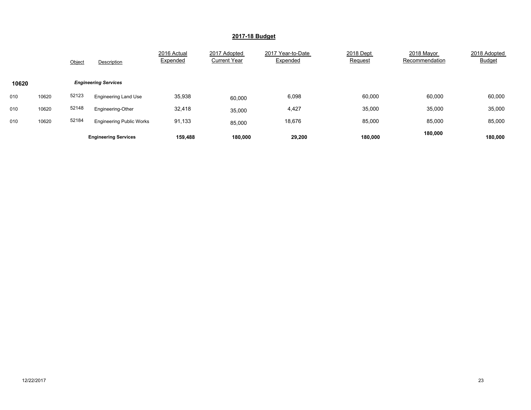|       |       | Object | Description                     | 2016 Actual<br>Expended | 2017 Adopted<br><b>Current Year</b> | 2017 Year-to-Date<br>Expended | 2018 Dept<br>Request | 2018 Mayor<br>Recommendation | 2018 Adopted<br><b>Budget</b> |
|-------|-------|--------|---------------------------------|-------------------------|-------------------------------------|-------------------------------|----------------------|------------------------------|-------------------------------|
| 10620 |       |        | <b>Engineering Services</b>     |                         |                                     |                               |                      |                              |                               |
| 010   | 10620 | 52123  | <b>Engineering Land Use</b>     | 35,938                  | 60,000                              | 6,098                         | 60,000               | 60,000                       | 60,000                        |
| 010   | 10620 | 52148  | Engineering-Other               | 32,418                  | 35,000                              | 4,427                         | 35,000               | 35,000                       | 35,000                        |
| 010   | 10620 | 52184  | <b>Engineering Public Works</b> | 91,133                  | 85,000                              | 18,676                        | 85,000               | 85,000                       | 85,000                        |
|       |       |        | <b>Engineering Services</b>     | 159,488                 | 180,000                             | 29,200                        | 180,000              | 180,000                      | 180.000                       |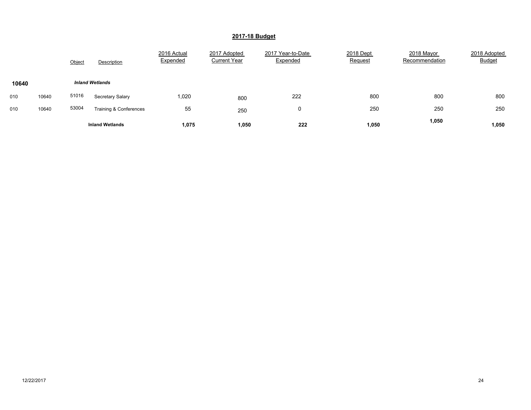|       |       | Object | Description            | 2016 Actual<br>Expended | 2017 Adopted<br><b>Current Year</b> | 2017 Year-to-Date<br>Expended | 2018 Dept<br>Request | 2018 Mayor<br>Recommendation | 2018 Adopted<br><b>Budget</b> |
|-------|-------|--------|------------------------|-------------------------|-------------------------------------|-------------------------------|----------------------|------------------------------|-------------------------------|
| 10640 |       |        | <b>Inland Wetlands</b> |                         |                                     |                               |                      |                              |                               |
| 010   | 10640 | 51016  | Secretary Salary       | 1,020                   | 800                                 | 222                           | 800                  | 800                          | 800                           |
| 010   | 10640 | 53004  | Training & Conferences | 55                      | 250                                 | 0                             | 250                  | 250                          | 250                           |
|       |       |        | <b>Inland Wetlands</b> | 1,075                   | 1,050                               | 222                           | 1,050                | 1,050                        | 1,050                         |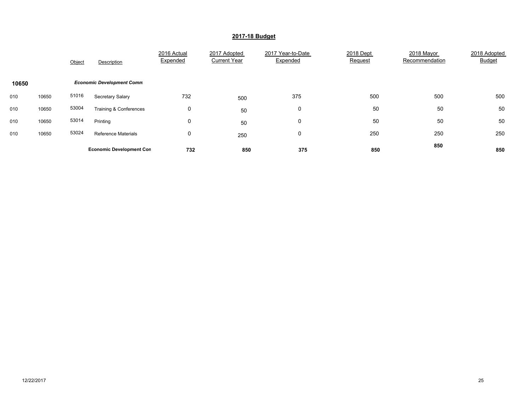|       |       | Object | Description                      | 2016 Actual<br>Expended | 2017 Adopted<br><b>Current Year</b> | 2017 Year-to-Date<br>Expended | 2018 Dept<br>Request | 2018 Mayor<br>Recommendation | 2018 Adopted<br><b>Budget</b> |
|-------|-------|--------|----------------------------------|-------------------------|-------------------------------------|-------------------------------|----------------------|------------------------------|-------------------------------|
| 10650 |       |        | <b>Economic Development Comm</b> |                         |                                     |                               |                      |                              |                               |
| 010   | 10650 | 51016  | Secretary Salary                 | 732                     | 500                                 | 375                           | 500                  | 500                          | 500                           |
| 010   | 10650 | 53004  | Training & Conferences           | 0                       | 50                                  | 0                             | 50                   | 50                           | 50                            |
| 010   | 10650 | 53014  | Printing                         | 0                       | 50                                  | 0                             | 50                   | 50                           | 50                            |
| 010   | 10650 | 53024  | <b>Reference Materials</b>       | 0                       | 250                                 | 0                             | 250                  | 250                          | 250                           |
|       |       |        | <b>Economic Development Con</b>  | 732                     | 850                                 | 375                           | 850                  | 850                          | 850                           |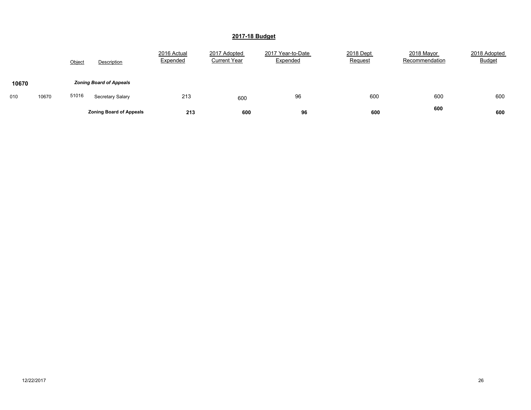|       |       | Object | Description                    | 2016 Actual<br>Expended | 2017 Adopted<br><b>Current Year</b> | 2017 Year-to-Date<br>Expended | 2018 Dept<br><b>Request</b> | 2018 Mayor<br>Recommendation | 2018 Adopted<br><b>Budget</b> |
|-------|-------|--------|--------------------------------|-------------------------|-------------------------------------|-------------------------------|-----------------------------|------------------------------|-------------------------------|
| 10670 |       |        | <b>Zoning Board of Appeals</b> |                         |                                     |                               |                             |                              |                               |
| 010   | 10670 | 51016  | Secretary Salary               | 213                     | 600                                 | 96                            | 600                         | 600                          | 600                           |
|       |       |        | <b>Zoning Board of Appeals</b> | 213                     | 600                                 | 96                            | 600                         | 600                          | 600                           |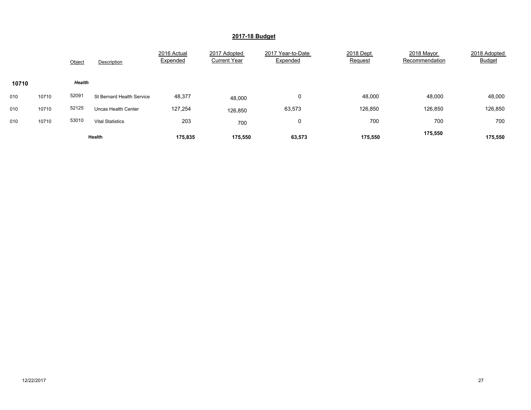|       |       | Object        | Description                      | 2016 Actual<br>Expended | 2017 Adopted<br><b>Current Year</b> | 2017 Year-to-Date<br>Expended | 2018 Dept<br>Request | 2018 Mayor<br>Recommendation | 2018 Adopted<br><b>Budget</b> |
|-------|-------|---------------|----------------------------------|-------------------------|-------------------------------------|-------------------------------|----------------------|------------------------------|-------------------------------|
| 10710 |       | <b>Health</b> |                                  |                         |                                     |                               |                      |                              |                               |
| 010   | 10710 | 52091         | <b>St Bernard Health Service</b> | 48,377                  | 48,000                              | 0                             | 48,000               | 48,000                       | 48,000                        |
| 010   | 10710 | 52125         | Uncas Health Center              | 127,254                 | 126,850                             | 63,573                        | 126,850              | 126,850                      | 126,850                       |
| 010   | 10710 | 53010         | <b>Vital Statistics</b>          | 203                     | 700                                 | 0                             | 700                  | 700                          | 700                           |
|       |       |               | Health                           | 175.835                 | 175.550                             | 63,573                        | 175.550              | 175,550                      | 175.550                       |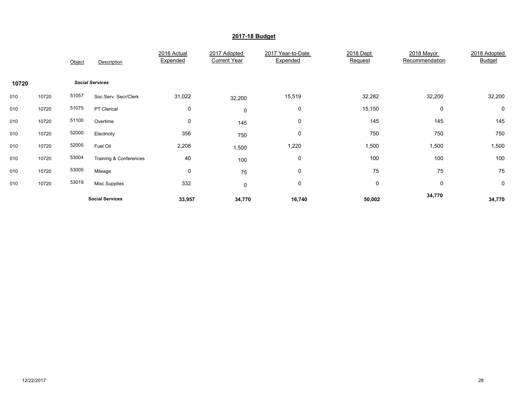|       |       | Object | Description            | 2016 Actual<br>Expended | 2017 Adopted<br><b>Current Year</b> | 2017 Year-to-Date<br>Expended | 2018 Dept<br>Request | 2018 Mayor<br>Recommendation | 2018 Adopted<br><b>Budget</b> |
|-------|-------|--------|------------------------|-------------------------|-------------------------------------|-------------------------------|----------------------|------------------------------|-------------------------------|
| 10720 |       |        | <b>Social Services</b> |                         |                                     |                               |                      |                              |                               |
| 010   | 10720 | 51057  | Soc.Serv. Secr/Clerk   | 31,022                  | 32,200                              | 15,519                        | 32,282               | 32,200                       | 32,200                        |
| 010   | 10720 | 51075  | PT Clerical            | 0                       | $\mathbf 0$                         | 0                             | 15,150               | 0                            | 0                             |
| 010   | 10720 | 51100  | Overtime               | 0                       | 145                                 | 0                             | 145                  | 145                          | 145                           |
| 010   | 10720 | 52000  | Electricity            | 356                     | 750                                 | 0                             | 750                  | 750                          | 750                           |
| 010   | 10720 | 52005  | Fuel Oil               | 2,208                   | 1,500                               | 1,220                         | 1,500                | 1,500                        | 1,500                         |
| 010   | 10720 | 53004  | Training & Conferences | 40                      | 100                                 | 0                             | 100                  | 100                          | 100                           |
| 010   | 10720 | 53005  | Mileage                | 0                       | 75                                  | 0                             | 75                   | 75                           | 75                            |
| 010   | 10720 | 53019  | <b>Misc Supplies</b>   | 332                     | 0                                   | 0                             | $\mathbf 0$          | 0                            | 0                             |
|       |       |        | <b>Social Services</b> | 33,957                  | 34,770                              | 16,740                        | 50,002               | 34,770                       | 34,770                        |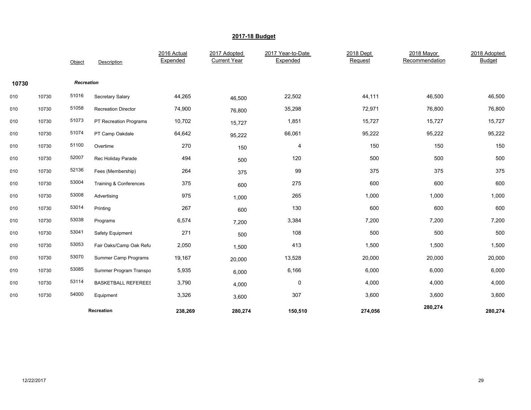|       |       | Object     | Description                | 2016 Actual<br>Expended | 2017 Adopted<br><b>Current Year</b> | 2017 Year-to-Date<br>Expended | 2018 Dept<br>Request | 2018 Mayor<br>Recommendation | 2018 Adopted<br><b>Budget</b> |
|-------|-------|------------|----------------------------|-------------------------|-------------------------------------|-------------------------------|----------------------|------------------------------|-------------------------------|
| 10730 |       | Recreation |                            |                         |                                     |                               |                      |                              |                               |
| 010   | 10730 | 51016      | Secretary Salary           | 44,265                  | 46,500                              | 22,502                        | 44,111               | 46,500                       | 46,500                        |
| 010   | 10730 | 51058      | <b>Recreation Director</b> | 74,900                  | 76,800                              | 35,298                        | 72,971               | 76,800                       | 76,800                        |
| 010   | 10730 | 51073      | PT Recreation Programs     | 10,702                  | 15,727                              | 1,851                         | 15,727               | 15,727                       | 15,727                        |
| 010   | 10730 | 51074      | PT Camp Oakdale            | 64,642                  | 95,222                              | 66,061                        | 95,222               | 95,222                       | 95,222                        |
| 010   | 10730 | 51100      | Overtime                   | 270                     | 150                                 | 4                             | 150                  | 150                          | 150                           |
| 010   | 10730 | 52007      | Rec Holiday Parade         | 494                     | 500                                 | 120                           | 500                  | 500                          | 500                           |
| 010   | 10730 | 52136      | Fees (Membership)          | 264                     | 375                                 | 99                            | 375                  | 375                          | 375                           |
| 010   | 10730 | 53004      | Training & Conferences     | 375                     | 600                                 | 275                           | 600                  | 600                          | 600                           |
| 010   | 10730 | 53008      | Advertising                | 975                     | 1,000                               | 265                           | 1,000                | 1,000                        | 1,000                         |
| 010   | 10730 | 53014      | Printing                   | 267                     | 600                                 | 130                           | 600                  | 600                          | 600                           |
| 010   | 10730 | 53038      | Programs                   | 6,574                   | 7,200                               | 3,384                         | 7,200                | 7,200                        | 7,200                         |
| 010   | 10730 | 53041      | Safety Equipment           | 271                     | 500                                 | 108                           | 500                  | 500                          | 500                           |
| 010   | 10730 | 53053      | Fair Oaks/Camp Oak Refu    | 2,050                   | 1,500                               | 413                           | 1,500                | 1,500                        | 1,500                         |
| 010   | 10730 | 53070      | Summer Camp Programs       | 19,167                  | 20,000                              | 13,528                        | 20,000               | 20,000                       | 20,000                        |
| 010   | 10730 | 53085      | Summer Program Transpo     | 5,935                   | 6,000                               | 6,166                         | 6,000                | 6,000                        | 6,000                         |
| 010   | 10730 | 53114      | <b>BASKETBALL REFEREES</b> | 3,790                   | 4,000                               | 0                             | 4,000                | 4,000                        | 4,000                         |
| 010   | 10730 | 54000      | Equipment                  | 3,326                   | 3,600                               | 307                           | 3,600                | 3,600                        | 3,600                         |
|       |       |            | Recreation                 | 238,269                 | 280,274                             | 150,510                       | 274,056              | 280,274                      | 280,274                       |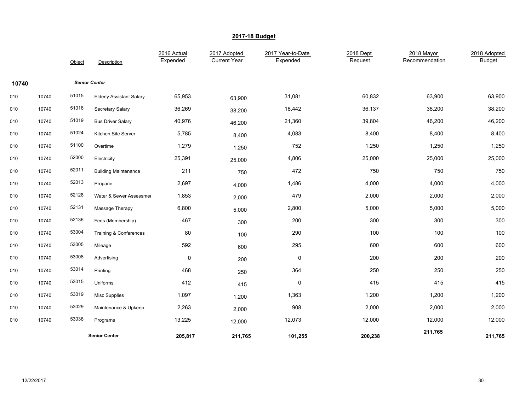|       |       | Object | Description                     | 2016 Actual<br>Expended | 2017 Adopted<br><b>Current Year</b> | 2017 Year-to-Date<br>Expended | 2018 Dept<br>Request | 2018 Mayor<br>Recommendation | 2018 Adopted<br><b>Budget</b> |
|-------|-------|--------|---------------------------------|-------------------------|-------------------------------------|-------------------------------|----------------------|------------------------------|-------------------------------|
| 10740 |       |        | <b>Senior Center</b>            |                         |                                     |                               |                      |                              |                               |
| 010   | 10740 | 51015  | <b>Elderly Assistant Salary</b> | 65,953                  | 63,900                              | 31,081                        | 60,832               | 63,900                       | 63,900                        |
| 010   | 10740 | 51016  | Secretary Salary                | 36,269                  | 38,200                              | 18,442                        | 36,137               | 38,200                       | 38,200                        |
| 010   | 10740 | 51019  | <b>Bus Driver Salary</b>        | 40,976                  | 46,200                              | 21,360                        | 39,804               | 46,200                       | 46,200                        |
| 010   | 10740 | 51024  | Kitchen Site Server             | 5,785                   | 8,400                               | 4,083                         | 8,400                | 8,400                        | 8,400                         |
| 010   | 10740 | 51100  | Overtime                        | 1,279                   | 1,250                               | 752                           | 1,250                | 1,250                        | 1,250                         |
| 010   | 10740 | 52000  | Electricity                     | 25,391                  | 25,000                              | 4,806                         | 25,000               | 25,000                       | 25,000                        |
| 010   | 10740 | 52011  | <b>Building Maintenance</b>     | 211                     | 750                                 | 472                           | 750                  | 750                          | 750                           |
| 010   | 10740 | 52013  | Propane                         | 2,697                   | 4,000                               | 1,486                         | 4,000                | 4,000                        | 4,000                         |
| 010   | 10740 | 52128  | Water & Sewer Assessmer         | 1,853                   | 2,000                               | 479                           | 2,000                | 2,000                        | 2,000                         |
| 010   | 10740 | 52131  | Massage Therapy                 | 6,800                   | 5,000                               | 2,800                         | 5,000                | 5,000                        | 5,000                         |
| 010   | 10740 | 52136  | Fees (Membership)               | 467                     | 300                                 | 200                           | 300                  | 300                          | 300                           |
| 010   | 10740 | 53004  | Training & Conferences          | 80                      | 100                                 | 290                           | 100                  | 100                          | 100                           |
| 010   | 10740 | 53005  | Mileage                         | 592                     | 600                                 | 295                           | 600                  | 600                          | 600                           |
| 010   | 10740 | 53008  | Advertising                     | $\pmb{0}$               | 200                                 | $\pmb{0}$                     | 200                  | 200                          | 200                           |
| 010   | 10740 | 53014  | Printing                        | 468                     | 250                                 | 364                           | 250                  | 250                          | 250                           |
| 010   | 10740 | 53015  | Uniforms                        | 412                     | 415                                 | $\pmb{0}$                     | 415                  | 415                          | 415                           |
| 010   | 10740 | 53019  | <b>Misc Supplies</b>            | 1,097                   | 1,200                               | 1,363                         | 1,200                | 1,200                        | 1,200                         |
| 010   | 10740 | 53029  | Maintenance & Upkeep            | 2,263                   | 2,000                               | 908                           | 2,000                | 2,000                        | 2,000                         |
| 010   | 10740 | 53038  | Programs                        | 13,225                  | 12,000                              | 12,073                        | 12,000               | 12,000                       | 12,000                        |
|       |       |        | <b>Senior Center</b>            | 205,817                 | 211,765                             | 101,255                       | 200,238              | 211,765                      | 211,765                       |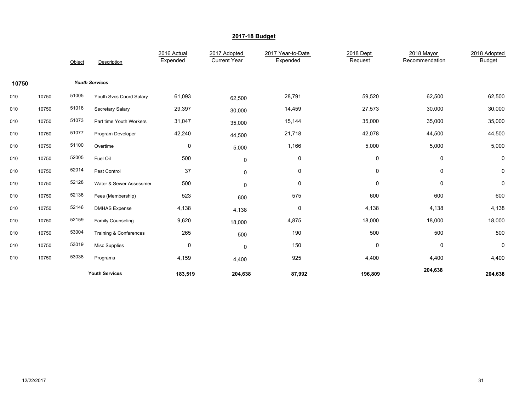|       |       | Object | Description              | 2016 Actual<br>Expended | 2017 Adopted<br><b>Current Year</b> | 2017 Year-to-Date<br>Expended | 2018 Dept<br>Request | 2018 Mayor<br>Recommendation | 2018 Adopted<br><b>Budget</b> |
|-------|-------|--------|--------------------------|-------------------------|-------------------------------------|-------------------------------|----------------------|------------------------------|-------------------------------|
| 10750 |       |        | <b>Youth Services</b>    |                         |                                     |                               |                      |                              |                               |
| 010   | 10750 | 51005  | Youth Svcs Coord Salary  | 61,093                  | 62,500                              | 28,791                        | 59,520               | 62,500                       | 62,500                        |
| 010   | 10750 | 51016  | Secretary Salary         | 29,397                  | 30,000                              | 14,459                        | 27,573               | 30,000                       | 30,000                        |
| 010   | 10750 | 51073  | Part time Youth Workers  | 31,047                  | 35,000                              | 15,144                        | 35,000               | 35,000                       | 35,000                        |
| 010   | 10750 | 51077  | Program Developer        | 42,240                  | 44,500                              | 21,718                        | 42,078               | 44,500                       | 44,500                        |
| 010   | 10750 | 51100  | Overtime                 | 0                       | 5,000                               | 1,166                         | 5,000                | 5,000                        | 5,000                         |
| 010   | 10750 | 52005  | Fuel Oil                 | 500                     | 0                                   | $\pmb{0}$                     | 0                    | 0                            | 0                             |
| 010   | 10750 | 52014  | Pest Control             | 37                      | 0                                   | 0                             | 0                    | 0                            | 0                             |
| 010   | 10750 | 52128  | Water & Sewer Assessmer  | 500                     | 0                                   | 0                             | 0                    | 0                            | $\pmb{0}$                     |
| 010   | 10750 | 52136  | Fees (Membership)        | 523                     | 600                                 | 575                           | 600                  | 600                          | 600                           |
| 010   | 10750 | 52146  | <b>DMHAS Expense</b>     | 4,138                   | 4,138                               | 0                             | 4,138                | 4,138                        | 4,138                         |
| 010   | 10750 | 52159  | <b>Family Counseling</b> | 9,620                   | 18,000                              | 4,875                         | 18,000               | 18,000                       | 18,000                        |
| 010   | 10750 | 53004  | Training & Conferences   | 265                     | 500                                 | 190                           | 500                  | 500                          | 500                           |
| 010   | 10750 | 53019  | Misc Supplies            | 0                       | 0                                   | 150                           | 0                    | 0                            | $\mathbf 0$                   |
| 010   | 10750 | 53038  | Programs                 | 4,159                   | 4,400                               | 925                           | 4,400                | 4,400                        | 4,400                         |
|       |       |        | <b>Youth Services</b>    | 183,519                 | 204,638                             | 87,992                        | 196,809              | 204,638                      | 204,638                       |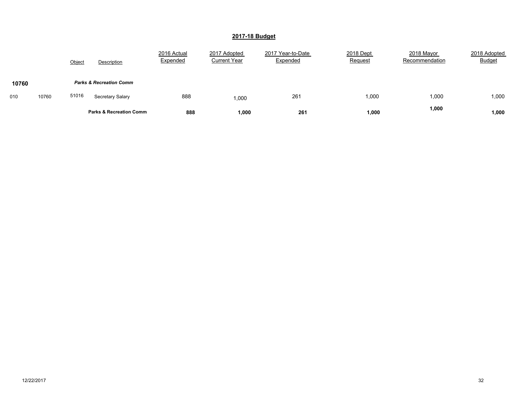|       |       | Object | Description                        | 2016 Actual<br>Expended | 2017 Adopted<br><b>Current Year</b> | 2017 Year-to-Date<br>Expended | 2018 Dept<br><b>Request</b> | 2018 Mayor<br>Recommendation | 2018 Adopted<br><b>Budget</b> |
|-------|-------|--------|------------------------------------|-------------------------|-------------------------------------|-------------------------------|-----------------------------|------------------------------|-------------------------------|
| 10760 |       |        | <b>Parks &amp; Recreation Comm</b> |                         |                                     |                               |                             |                              |                               |
| 010   | 10760 | 51016  | Secretary Salary                   | 888                     | 1,000                               | 261                           | 000,1                       | 1,000                        | 1,000                         |
|       |       |        | <b>Parks &amp; Recreation Comm</b> | 888                     | ,000                                | 261                           | 1,000                       | 1,000                        | 1,000                         |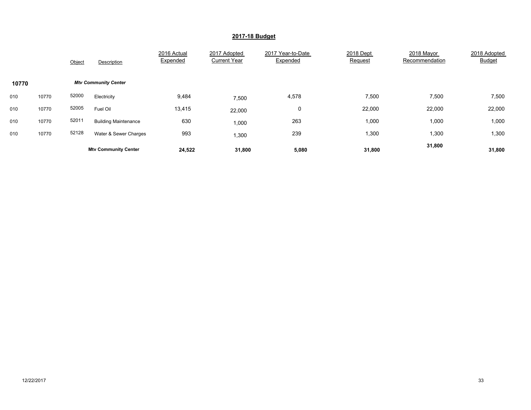|       |       | Object | Description                 | 2016 Actual<br>Expended | 2017 Adopted<br><b>Current Year</b> | 2017 Year-to-Date<br>Expended | 2018 Dept<br>Request | 2018 Mayor<br>Recommendation | 2018 Adopted<br><b>Budget</b> |
|-------|-------|--------|-----------------------------|-------------------------|-------------------------------------|-------------------------------|----------------------|------------------------------|-------------------------------|
| 10770 |       |        | <b>Mtv Community Center</b> |                         |                                     |                               |                      |                              |                               |
| 010   | 10770 | 52000  | Electricity                 | 9,484                   | 7,500                               | 4,578                         | 7,500                | 7,500                        | 7,500                         |
| 010   | 10770 | 52005  | Fuel Oil                    | 13,415                  | 22,000                              | 0                             | 22,000               | 22,000                       | 22,000                        |
| 010   | 10770 | 52011  | <b>Building Maintenance</b> | 630                     | 1,000                               | 263                           | 1,000                | 1,000                        | 1,000                         |
| 010   | 10770 | 52128  | Water & Sewer Charges       | 993                     | 1,300                               | 239                           | 1,300                | 1,300                        | 1,300                         |
|       |       |        | <b>Mtv Community Center</b> | 24,522                  | 31,800                              | 5,080                         | 31,800               | 31,800                       | 31,800                        |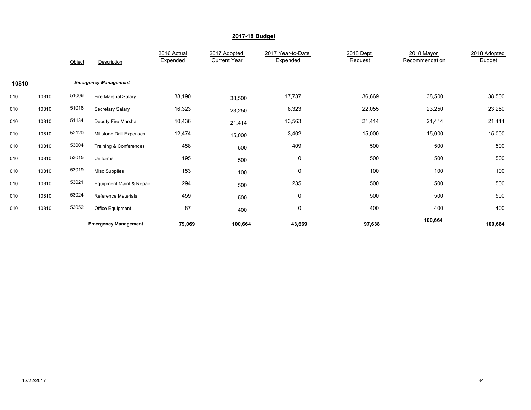|       |       | Object | Description                 | 2016 Actual<br>Expended | 2017 Adopted<br><b>Current Year</b> | 2017 Year-to-Date<br>Expended | 2018 Dept<br>Request | 2018 Mayor<br>Recommendation | 2018 Adopted<br><b>Budget</b> |
|-------|-------|--------|-----------------------------|-------------------------|-------------------------------------|-------------------------------|----------------------|------------------------------|-------------------------------|
| 10810 |       |        | <b>Emergency Management</b> |                         |                                     |                               |                      |                              |                               |
| 010   | 10810 | 51006  | Fire Marshal Salary         | 38,190                  | 38,500                              | 17,737                        | 36,669               | 38,500                       | 38,500                        |
| 010   | 10810 | 51016  | Secretary Salary            | 16,323                  | 23,250                              | 8,323                         | 22,055               | 23,250                       | 23,250                        |
| 010   | 10810 | 51134  | Deputy Fire Marshal         | 10,436                  | 21,414                              | 13,563                        | 21,414               | 21,414                       | 21,414                        |
| 010   | 10810 | 52120  | Millstone Drill Expenses    | 12,474                  | 15,000                              | 3,402                         | 15,000               | 15,000                       | 15,000                        |
| 010   | 10810 | 53004  | Training & Conferences      | 458                     | 500                                 | 409                           | 500                  | 500                          | 500                           |
| 010   | 10810 | 53015  | Uniforms                    | 195                     | 500                                 | 0                             | 500                  | 500                          | 500                           |
| 010   | 10810 | 53019  | Misc Supplies               | 153                     | 100                                 | 0                             | 100                  | 100                          | 100                           |
| 010   | 10810 | 53021  | Equipment Maint & Repair    | 294                     | 500                                 | 235                           | 500                  | 500                          | 500                           |
| 010   | 10810 | 53024  | <b>Reference Materials</b>  | 459                     | 500                                 | 0                             | 500                  | 500                          | 500                           |
| 010   | 10810 | 53052  | Office Equipment            | 87                      | 400                                 | 0                             | 400                  | 400                          | 400                           |
|       |       |        | <b>Emergency Management</b> | 79,069                  | 100,664                             | 43,669                        | 97,638               | 100,664                      | 100,664                       |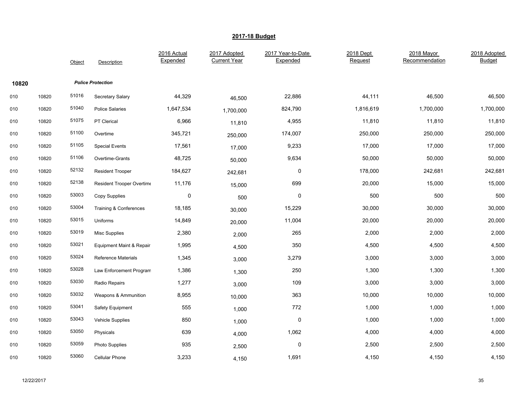|       |       | Object | Description                | 2016 Actual<br>Expended | 2017 Adopted<br><b>Current Year</b> | 2017 Year-to-Date<br>Expended | 2018 Dept<br>Request | 2018 Mayor<br>Recommendation | 2018 Adopted<br><b>Budget</b> |
|-------|-------|--------|----------------------------|-------------------------|-------------------------------------|-------------------------------|----------------------|------------------------------|-------------------------------|
| 10820 |       |        | <b>Police Protection</b>   |                         |                                     |                               |                      |                              |                               |
| 010   | 10820 | 51016  | <b>Secretary Salary</b>    | 44,329                  | 46,500                              | 22,886                        | 44,111               | 46,500                       | 46,500                        |
| 010   | 10820 | 51040  | <b>Police Salaries</b>     | 1,647,534               | 1,700,000                           | 824,790                       | 1,816,619            | 1,700,000                    | 1,700,000                     |
| 010   | 10820 | 51075  | PT Clerical                | 6,966                   | 11,810                              | 4,955                         | 11,810               | 11,810                       | 11,810                        |
| 010   | 10820 | 51100  | Overtime                   | 345,721                 | 250,000                             | 174,007                       | 250,000              | 250,000                      | 250,000                       |
| 010   | 10820 | 51105  | <b>Special Events</b>      | 17,561                  | 17,000                              | 9,233                         | 17,000               | 17,000                       | 17,000                        |
| 010   | 10820 | 51106  | Overtime-Grants            | 48,725                  | 50,000                              | 9,634                         | 50,000               | 50,000                       | 50,000                        |
| 010   | 10820 | 52132  | <b>Resident Trooper</b>    | 184,627                 | 242,681                             | $\mathbf 0$                   | 178,000              | 242,681                      | 242,681                       |
| 010   | 10820 | 52138  | Resident Trooper Overtime  | 11,176                  | 15,000                              | 699                           | 20,000               | 15,000                       | 15,000                        |
| 010   | 10820 | 53003  | Copy Supplies              | $\pmb{0}$               | 500                                 | 0                             | 500                  | 500                          | 500                           |
| 010   | 10820 | 53004  | Training & Conferences     | 18,185                  | 30,000                              | 15,229                        | 30,000               | 30,000                       | 30,000                        |
| 010   | 10820 | 53015  | Uniforms                   | 14,849                  | 20,000                              | 11,004                        | 20,000               | 20,000                       | 20,000                        |
| 010   | 10820 | 53019  | <b>Misc Supplies</b>       | 2,380                   | 2,000                               | 265                           | 2,000                | 2,000                        | 2,000                         |
| 010   | 10820 | 53021  | Equipment Maint & Repair   | 1,995                   | 4,500                               | 350                           | 4,500                | 4,500                        | 4,500                         |
| 010   | 10820 | 53024  | <b>Reference Materials</b> | 1,345                   | 3,000                               | 3,279                         | 3,000                | 3,000                        | 3,000                         |
| 010   | 10820 | 53028  | Law Enforcement Program    | 1,386                   | 1,300                               | 250                           | 1,300                | 1,300                        | 1,300                         |
| 010   | 10820 | 53030  | Radio Repairs              | 1,277                   | 3,000                               | 109                           | 3,000                | 3,000                        | 3,000                         |
| 010   | 10820 | 53032  | Weapons & Ammunition       | 8,955                   | 10,000                              | 363                           | 10,000               | 10,000                       | 10,000                        |
| 010   | 10820 | 53041  | Safety Equipment           | 555                     | 1,000                               | 772                           | 1,000                | 1,000                        | 1,000                         |
| 010   | 10820 | 53043  | <b>Vehicle Supplies</b>    | 850                     | 1,000                               | 0                             | 1,000                | 1,000                        | 1,000                         |
| 010   | 10820 | 53050  | Physicals                  | 639                     | 4,000                               | 1,062                         | 4,000                | 4,000                        | 4,000                         |
| 010   | 10820 | 53059  | <b>Photo Supplies</b>      | 935                     | 2,500                               | 0                             | 2,500                | 2,500                        | 2,500                         |
| 010   | 10820 | 53060  | Cellular Phone             | 3,233                   | 4,150                               | 1,691                         | 4,150                | 4,150                        | 4,150                         |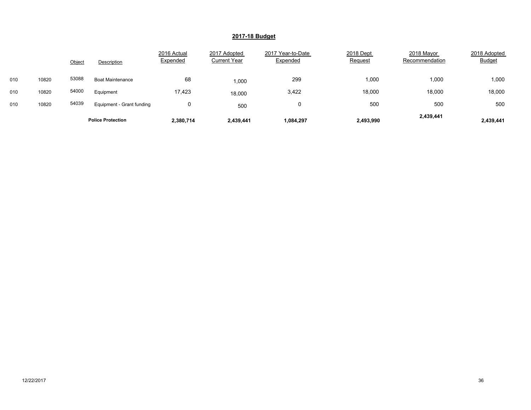|     |       | Object | Description               | 2016 Actual<br>Expended | 2017 Adopted<br><b>Current Year</b> | 2017 Year-to-Date<br>Expended | 2018 Dept<br>Request | 2018 Mayor<br>Recommendation | 2018 Adopted<br><b>Budget</b> |
|-----|-------|--------|---------------------------|-------------------------|-------------------------------------|-------------------------------|----------------------|------------------------------|-------------------------------|
| 010 | 10820 | 53088  | <b>Boat Maintenance</b>   | 68                      | 1,000                               | 299                           | 1,000                | 1,000                        | 1,000                         |
| 010 | 10820 | 54000  | Equipment                 | 17,423                  | 18,000                              | 3,422                         | 18,000               | 18,000                       | 18,000                        |
| 010 | 10820 | 54039  | Equipment - Grant funding |                         | 500                                 | 0                             | 500                  | 500                          | 500                           |
|     |       |        | <b>Police Protection</b>  | 2,380,714               | 2,439,441                           | 1,084,297                     | 2,493,990            | 2,439,441                    | 2,439,441                     |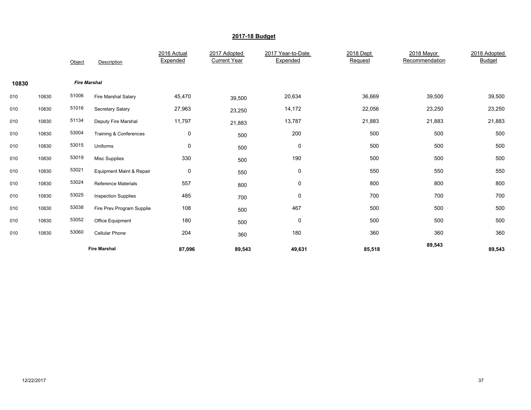|       |       | Object              | Description                | 2016 Actual<br>Expended | 2017 Adopted<br><b>Current Year</b> | 2017 Year-to-Date<br>Expended | 2018 Dept<br>Request | 2018 Mayor<br>Recommendation | 2018 Adopted<br><b>Budget</b> |
|-------|-------|---------------------|----------------------------|-------------------------|-------------------------------------|-------------------------------|----------------------|------------------------------|-------------------------------|
| 10830 |       | <b>Fire Marshal</b> |                            |                         |                                     |                               |                      |                              |                               |
| 010   | 10830 | 51006               | Fire Marshal Salary        | 45,470                  | 39,500                              | 20,634                        | 36,669               | 39,500                       | 39,500                        |
| 010   | 10830 | 51016               | Secretary Salary           | 27,963                  | 23,250                              | 14,172                        | 22,056               | 23,250                       | 23,250                        |
| 010   | 10830 | 51134               | Deputy Fire Marshal        | 11,797                  | 21,883                              | 13,787                        | 21,883               | 21,883                       | 21,883                        |
| 010   | 10830 | 53004               | Training & Conferences     | 0                       | 500                                 | 200                           | 500                  | 500                          | 500                           |
| 010   | 10830 | 53015               | Uniforms                   | 0                       | 500                                 | 0                             | 500                  | 500                          | 500                           |
| 010   | 10830 | 53019               | <b>Misc Supplies</b>       | 330                     | 500                                 | 190                           | 500                  | 500                          | 500                           |
| 010   | 10830 | 53021               | Equipment Maint & Repair   | 0                       | 550                                 | 0                             | 550                  | 550                          | 550                           |
| 010   | 10830 | 53024               | <b>Reference Materials</b> | 557                     | 800                                 | $\pmb{0}$                     | 800                  | 800                          | 800                           |
| 010   | 10830 | 53025               | <b>Inspection Supplies</b> | 485                     | 700                                 | 0                             | 700                  | 700                          | 700                           |
| 010   | 10830 | 53038               | Fire Prev.Program Supplie  | 108                     | 500                                 | 467                           | 500                  | 500                          | 500                           |
| 010   | 10830 | 53052               | Office Equipment           | 180                     | 500                                 | 0                             | 500                  | 500                          | 500                           |
| 010   | 10830 | 53060               | Cellular Phone             | 204                     | 360                                 | 180                           | 360                  | 360                          | 360                           |
|       |       |                     | <b>Fire Marshal</b>        | 87,096                  | 89,543                              | 49,631                        | 85,518               | 89,543                       | 89,543                        |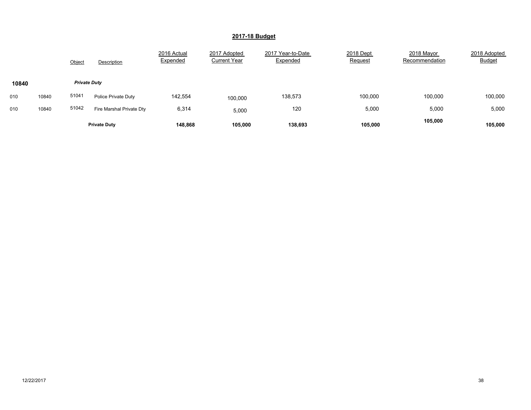|       |       | Object              | Description              | 2016 Actual<br>Expended | 2017 Adopted<br><b>Current Year</b> | 2017 Year-to-Date<br>Expended | 2018 Dept<br>Request | 2018 Mayor<br>Recommendation | 2018 Adopted<br><b>Budget</b> |
|-------|-------|---------------------|--------------------------|-------------------------|-------------------------------------|-------------------------------|----------------------|------------------------------|-------------------------------|
| 10840 |       | <b>Private Duty</b> |                          |                         |                                     |                               |                      |                              |                               |
|       |       |                     |                          |                         |                                     |                               |                      |                              |                               |
| 010   | 10840 | 51041               | Police Private Duty      | 142,554                 | 100,000                             | 138,573                       | 100.000              | 100,000                      | 100,000                       |
| 010   | 10840 | 51042               | Fire Marshal Private Dty | 6,314                   | 5,000                               | 120                           | 5,000                | 5,000                        | 5,000                         |
|       |       |                     | <b>Private Duty</b>      | 148,868                 | 105,000                             | 138,693                       | 105,000              | 105,000                      | 105,000                       |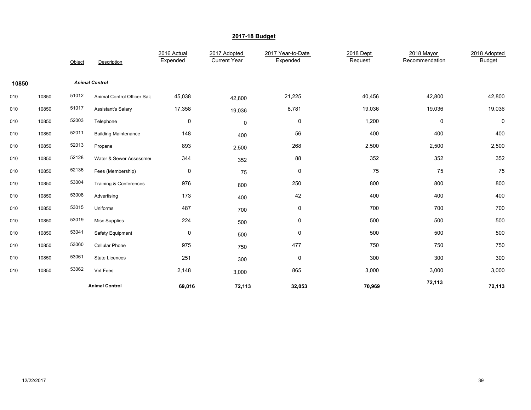|       |       | Object | Description                 | 2016 Actual<br>Expended | 2017 Adopted<br><b>Current Year</b> | 2017 Year-to-Date<br>Expended | 2018 Dept<br>Request | 2018 Mayor<br>Recommendation | 2018 Adopted<br><b>Budget</b> |
|-------|-------|--------|-----------------------------|-------------------------|-------------------------------------|-------------------------------|----------------------|------------------------------|-------------------------------|
| 10850 |       |        | <b>Animal Control</b>       |                         |                                     |                               |                      |                              |                               |
| 010   | 10850 | 51012  | Animal Control Officer Sala | 45,038                  | 42,800                              | 21,225                        | 40,456               | 42,800                       | 42,800                        |
| 010   | 10850 | 51017  | Assistant's Salary          | 17,358                  | 19,036                              | 8,781                         | 19,036               | 19,036                       | 19,036                        |
| 010   | 10850 | 52003  | Telephone                   | 0                       | 0                                   | 0                             | 1,200                | 0                            | 0                             |
| 010   | 10850 | 52011  | <b>Building Maintenance</b> | 148                     | 400                                 | 56                            | 400                  | 400                          | 400                           |
| 010   | 10850 | 52013  | Propane                     | 893                     | 2,500                               | 268                           | 2,500                | 2,500                        | 2,500                         |
| 010   | 10850 | 52128  | Water & Sewer Assessmer     | 344                     | 352                                 | 88                            | 352                  | 352                          | 352                           |
| 010   | 10850 | 52136  | Fees (Membership)           | $\pmb{0}$               | 75                                  | $\pmb{0}$                     | 75                   | 75                           | 75                            |
| 010   | 10850 | 53004  | Training & Conferences      | 976                     | 800                                 | 250                           | 800                  | 800                          | 800                           |
| 010   | 10850 | 53008  | Advertising                 | 173                     | 400                                 | 42                            | 400                  | 400                          | 400                           |
| 010   | 10850 | 53015  | Uniforms                    | 487                     | 700                                 | 0                             | 700                  | 700                          | 700                           |
| 010   | 10850 | 53019  | <b>Misc Supplies</b>        | 224                     | 500                                 | $\pmb{0}$                     | 500                  | 500                          | 500                           |
| 010   | 10850 | 53041  | Safety Equipment            | 0                       | 500                                 | 0                             | 500                  | 500                          | 500                           |
| 010   | 10850 | 53060  | Cellular Phone              | 975                     | 750                                 | 477                           | 750                  | 750                          | 750                           |
| 010   | 10850 | 53061  | <b>State Licences</b>       | 251                     | 300                                 | $\mathbf 0$                   | 300                  | 300                          | 300                           |
| 010   | 10850 | 53062  | Vet Fees                    | 2,148                   | 3,000                               | 865                           | 3,000                | 3,000                        | 3,000                         |
|       |       |        | <b>Animal Control</b>       | 69,016                  | 72,113                              | 32,053                        | 70,969               | 72,113                       | 72,113                        |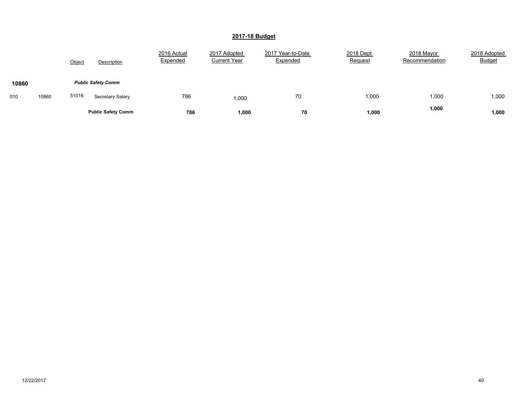|       |       | Object | Description               | 2016 Actual<br>Expended | 2017 Adopted<br><b>Current Year</b> | 2017 Year-to-Date<br>Expended | 2018 Dept<br>Request | 2018 Mayor<br>Recommendation | 2018 Adopted<br><b>Budget</b> |
|-------|-------|--------|---------------------------|-------------------------|-------------------------------------|-------------------------------|----------------------|------------------------------|-------------------------------|
| 10860 |       |        | <b>Public Safety Comm</b> |                         |                                     |                               |                      |                              |                               |
| 010   | 10860 | 51016  | Secretary Salary          | 786                     | 1,000                               | 70                            | 1,000                | 1,000                        | 1,000                         |
|       |       |        | <b>Public Safety Comm</b> | 786                     | 1,000                               | 70                            | 1,000                | 1,000                        | 1,000                         |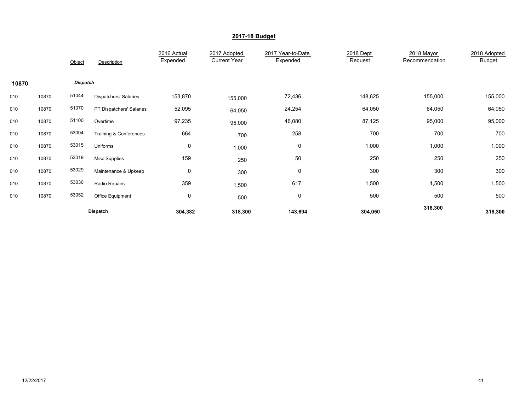|       |       | Object          | Description                  | 2016 Actual<br>Expended | 2017 Adopted<br><b>Current Year</b> | 2017 Year-to-Date<br>Expended | 2018 Dept<br>Request | 2018 Mayor<br>Recommendation | 2018 Adopted<br><b>Budget</b> |
|-------|-------|-----------------|------------------------------|-------------------------|-------------------------------------|-------------------------------|----------------------|------------------------------|-------------------------------|
| 10870 |       | <b>Dispatch</b> |                              |                         |                                     |                               |                      |                              |                               |
| 010   | 10870 | 51044           | <b>Dispatchers' Salaries</b> | 153,870                 | 155,000                             | 72,436                        | 148,625              | 155,000                      | 155,000                       |
| 010   | 10870 | 51070           | PT Dispatchers' Salaries     | 52,095                  | 64,050                              | 24,254                        | 64,050               | 64,050                       | 64,050                        |
| 010   | 10870 | 51100           | Overtime                     | 97,235                  | 95,000                              | 46,080                        | 87,125               | 95,000                       | 95,000                        |
| 010   | 10870 | 53004           | Training & Conferences       | 664                     | 700                                 | 258                           | 700                  | 700                          | 700                           |
| 010   | 10870 | 53015           | Uniforms                     | $\mathbf 0$             | 1,000                               | 0                             | 1,000                | 1,000                        | 1,000                         |
| 010   | 10870 | 53019           | Misc Supplies                | 159                     | 250                                 | 50                            | 250                  | 250                          | 250                           |
| 010   | 10870 | 53029           | Maintenance & Upkeep         | 0                       | 300                                 | 0                             | 300                  | 300                          | 300                           |
| 010   | 10870 | 53030           | Radio Repairs                | 359                     | 1,500                               | 617                           | 1,500                | 1,500                        | 1,500                         |
| 010   | 10870 | 53052           | Office Equipment             | 0                       | 500                                 | $\mathbf 0$                   | 500                  | 500                          | 500                           |
|       |       |                 | Dispatch                     | 304,382                 | 318,300                             | 143,694                       | 304,050              | 318,300                      | 318,300                       |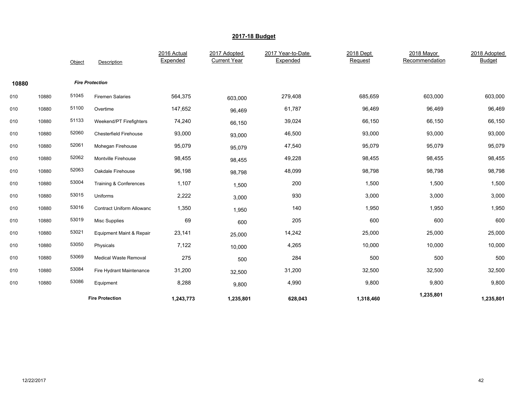|       |       | Object | Description                         | 2016 Actual<br>Expended | 2017 Adopted<br><b>Current Year</b> | 2017 Year-to-Date<br>Expended | 2018 Dept<br>Request | 2018 Mayor<br>Recommendation | 2018 Adopted<br><b>Budget</b> |
|-------|-------|--------|-------------------------------------|-------------------------|-------------------------------------|-------------------------------|----------------------|------------------------------|-------------------------------|
| 10880 |       |        | <b>Fire Protection</b>              |                         |                                     |                               |                      |                              |                               |
| 010   | 10880 | 51045  | <b>Firemen Salaries</b>             | 564,375                 | 603,000                             | 279,408                       | 685,659              | 603,000                      | 603,000                       |
| 010   | 10880 | 51100  | Overtime                            | 147,652                 | 96,469                              | 61,787                        | 96,469               | 96,469                       | 96,469                        |
| 010   | 10880 | 51133  | Weekend/PT Firefighters             | 74,240                  | 66,150                              | 39,024                        | 66,150               | 66,150                       | 66,150                        |
| 010   | 10880 | 52060  | <b>Chesterfield Firehouse</b>       | 93,000                  | 93,000                              | 46,500                        | 93,000               | 93,000                       | 93,000                        |
| 010   | 10880 | 52061  | Mohegan Firehouse                   | 95,079                  | 95,079                              | 47,540                        | 95,079               | 95,079                       | 95,079                        |
| 010   | 10880 | 52062  | Montville Firehouse                 | 98,455                  | 98,455                              | 49,228                        | 98,455               | 98,455                       | 98,455                        |
| 010   | 10880 | 52063  | Oakdale Firehouse                   | 96,198                  | 98,798                              | 48,099                        | 98,798               | 98,798                       | 98,798                        |
| 010   | 10880 | 53004  | Training & Conferences              | 1,107                   | 1,500                               | 200                           | 1,500                | 1,500                        | 1,500                         |
| 010   | 10880 | 53015  | Uniforms                            | 2,222                   | 3,000                               | 930                           | 3,000                | 3,000                        | 3,000                         |
| 010   | 10880 | 53016  | <b>Contract Uniform Allowanc</b>    | 1,350                   | 1,950                               | 140                           | 1,950                | 1,950                        | 1,950                         |
| 010   | 10880 | 53019  | Misc Supplies                       | 69                      | 600                                 | 205                           | 600                  | 600                          | 600                           |
| 010   | 10880 | 53021  | <b>Equipment Maint &amp; Repair</b> | 23,141                  | 25,000                              | 14,242                        | 25,000               | 25,000                       | 25,000                        |
| 010   | 10880 | 53050  | Physicals                           | 7,122                   | 10,000                              | 4,265                         | 10,000               | 10,000                       | 10,000                        |
| 010   | 10880 | 53069  | <b>Medical Waste Removal</b>        | 275                     | 500                                 | 284                           | 500                  | 500                          | 500                           |
| 010   | 10880 | 53084  | Fire Hydrant Maintenance            | 31,200                  | 32,500                              | 31,200                        | 32,500               | 32,500                       | 32,500                        |
| 010   | 10880 | 53086  | Equipment                           | 8,288                   | 9,800                               | 4,990                         | 9,800                | 9,800                        | 9,800                         |
|       |       |        | <b>Fire Protection</b>              | 1,243,773               | 1,235,801                           | 628,043                       | 1,318,460            | 1,235,801                    | 1,235,801                     |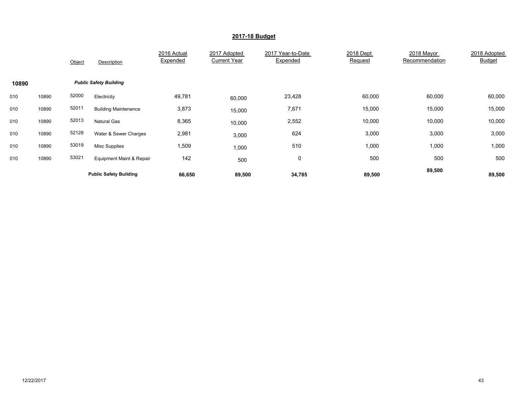|       |       | Object | Description                   | 2016 Actual<br>Expended | 2017 Adopted<br><b>Current Year</b> | 2017 Year-to-Date<br>Expended | 2018 Dept<br>Request | 2018 Mayor<br>Recommendation | 2018 Adopted<br><b>Budget</b> |
|-------|-------|--------|-------------------------------|-------------------------|-------------------------------------|-------------------------------|----------------------|------------------------------|-------------------------------|
| 10890 |       |        | <b>Public Safety Building</b> |                         |                                     |                               |                      |                              |                               |
| 010   | 10890 | 52000  | Electricity                   | 49,781                  | 60,000                              | 23,428                        | 60,000               | 60,000                       | 60,000                        |
| 010   | 10890 | 52011  | <b>Building Maintenance</b>   | 3,873                   | 15,000                              | 7,671                         | 15,000               | 15,000                       | 15,000                        |
| 010   | 10890 | 52013  | <b>Natural Gas</b>            | 8,365                   | 10,000                              | 2,552                         | 10,000               | 10,000                       | 10,000                        |
| 010   | 10890 | 52128  | Water & Sewer Charges         | 2,981                   | 3,000                               | 624                           | 3,000                | 3,000                        | 3,000                         |
| 010   | 10890 | 53019  | Misc Supplies                 | 1,509                   | 1,000                               | 510                           | 1,000                | 1,000                        | 1,000                         |
| 010   | 10890 | 53021  | Equipment Maint & Repair      | 142                     | 500                                 | 0                             | 500                  | 500                          | 500                           |
|       |       |        | <b>Public Safety Building</b> | 66,650                  | 89,500                              | 34,785                        | 89,500               | 89,500                       | 89,500                        |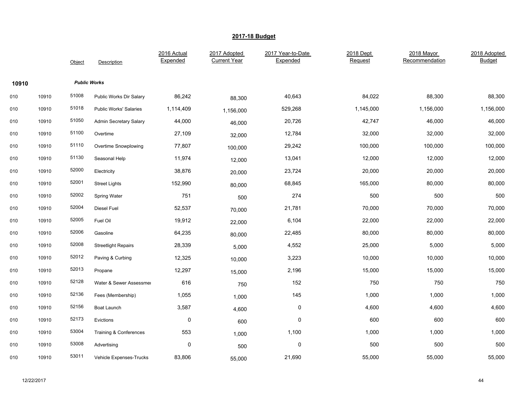|       |       | Object | Description                   | 2016 Actual<br>Expended | 2017 Adopted<br><b>Current Year</b> | 2017 Year-to-Date<br>Expended | 2018 Dept<br>Request | 2018 Mayor<br>Recommendation | 2018 Adopted<br><b>Budget</b> |
|-------|-------|--------|-------------------------------|-------------------------|-------------------------------------|-------------------------------|----------------------|------------------------------|-------------------------------|
| 10910 |       |        | <b>Public Works</b>           |                         |                                     |                               |                      |                              |                               |
| 010   | 10910 | 51008  | Public Works Dir Salary       | 86,242                  | 88,300                              | 40,643                        | 84,022               | 88,300                       | 88,300                        |
| 010   | 10910 | 51018  | <b>Public Works' Salaries</b> | 1,114,409               | 1,156,000                           | 529,268                       | 1,145,000            | 1,156,000                    | 1,156,000                     |
| 010   | 10910 | 51050  | Admin Secretary Salary        | 44,000                  | 46,000                              | 20,726                        | 42,747               | 46,000                       | 46,000                        |
| 010   | 10910 | 51100  | Overtime                      | 27,109                  | 32,000                              | 12,784                        | 32,000               | 32,000                       | 32,000                        |
| 010   | 10910 | 51110  | Overtime Snowplowing          | 77,807                  | 100,000                             | 29,242                        | 100,000              | 100,000                      | 100,000                       |
| 010   | 10910 | 51130  | Seasonal Help                 | 11,974                  | 12,000                              | 13,041                        | 12,000               | 12,000                       | 12,000                        |
| 010   | 10910 | 52000  | Electricity                   | 38,876                  | 20,000                              | 23,724                        | 20,000               | 20,000                       | 20,000                        |
| 010   | 10910 | 52001  | <b>Street Lights</b>          | 152,990                 | 80,000                              | 68,845                        | 165,000              | 80,000                       | 80,000                        |
| 010   | 10910 | 52002  | Spring Water                  | 751                     | 500                                 | 274                           | 500                  | 500                          | 500                           |
| 010   | 10910 | 52004  | Diesel Fuel                   | 52,537                  | 70,000                              | 21,781                        | 70,000               | 70,000                       | 70,000                        |
| 010   | 10910 | 52005  | Fuel Oil                      | 19,912                  | 22,000                              | 6,104                         | 22,000               | 22,000                       | 22,000                        |
| 010   | 10910 | 52006  | Gasoline                      | 64,235                  | 80,000                              | 22,485                        | 80,000               | 80,000                       | 80,000                        |
| 010   | 10910 | 52008  | <b>Streetlight Repairs</b>    | 28,339                  | 5,000                               | 4,552                         | 25,000               | 5,000                        | 5,000                         |
| 010   | 10910 | 52012  | Paving & Curbing              | 12,325                  | 10,000                              | 3,223                         | 10,000               | 10,000                       | 10,000                        |
| 010   | 10910 | 52013  | Propane                       | 12,297                  | 15,000                              | 2,196                         | 15,000               | 15,000                       | 15,000                        |
| 010   | 10910 | 52128  | Water & Sewer Assessmer       | 616                     | 750                                 | 152                           | 750                  | 750                          | 750                           |
| 010   | 10910 | 52136  | Fees (Membership)             | 1,055                   | 1,000                               | 145                           | 1,000                | 1,000                        | 1,000                         |
| 010   | 10910 | 52156  | Boat Launch                   | 3,587                   | 4,600                               | $\pmb{0}$                     | 4,600                | 4,600                        | 4,600                         |
| 010   | 10910 | 52173  | Evictions                     | $\pmb{0}$               | 600                                 | 0                             | 600                  | 600                          | 600                           |
| 010   | 10910 | 53004  | Training & Conferences        | 553                     | 1,000                               | 1,100                         | 1,000                | 1,000                        | 1,000                         |
| 010   | 10910 | 53008  | Advertising                   | $\mathbf 0$             | 500                                 | $\pmb{0}$                     | 500                  | 500                          | 500                           |
| 010   | 10910 | 53011  | Vehicle Expenses-Trucks       | 83,806                  | 55,000                              | 21,690                        | 55,000               | 55,000                       | 55,000                        |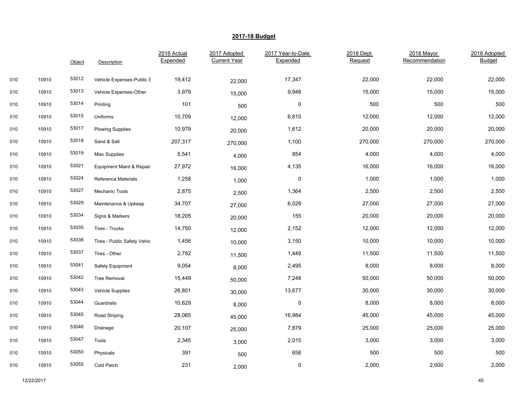|     |       | Object | <b>Description</b>          | 2016 Actual<br>Expended | 2017 Adopted<br><b>Current Year</b> | 2017 Year-to-Date<br>Expended | 2018 Dept<br>Request | 2018 Mayor<br>Recommendation | 2018 Adopted<br><b>Budget</b> |
|-----|-------|--------|-----------------------------|-------------------------|-------------------------------------|-------------------------------|----------------------|------------------------------|-------------------------------|
|     |       |        |                             |                         |                                     |                               |                      |                              |                               |
| 010 | 10910 | 53012  | Vehicle Expenses-Public S   | 19,412                  | 22,000                              | 17,347                        | 22,000               | 22,000                       | 22,000                        |
| 010 | 10910 | 53013  | Vehicle Expenses-Other      | 3,979                   | 15,000                              | 9,948                         | 15,000               | 15,000                       | 15,000                        |
| 010 | 10910 | 53014  | Printing                    | 101                     | 500                                 | $\mathsf{O}\xspace$           | 500                  | 500                          | 500                           |
| 010 | 10910 | 53015  | Uniforms                    | 10,709                  | 12,000                              | 6,810                         | 12,000               | 12,000                       | 12,000                        |
| 010 | 10910 | 53017  | <b>Plowing Supplies</b>     | 10,979                  | 20,000                              | 1,612                         | 20,000               | 20,000                       | 20,000                        |
| 010 | 10910 | 53018  | Sand & Salt                 | 207,317                 | 270,000                             | 1,100                         | 270,000              | 270,000                      | 270,000                       |
| 010 | 10910 | 53019  | <b>Misc Supplies</b>        | 5,541                   | 4,000                               | 854                           | 4,000                | 4,000                        | 4,000                         |
| 010 | 10910 | 53021  | Equipment Maint & Repair    | 27,972                  | 16,000                              | 4,135                         | 16,000               | 16,000                       | 16,000                        |
| 010 | 10910 | 53024  | <b>Reference Materials</b>  | 1,258                   | 1,000                               | 0                             | 1,000                | 1,000                        | 1,000                         |
| 010 | 10910 | 53027  | Mechanic Tools              | 2,875                   | 2,500                               | 1,364                         | 2,500                | 2,500                        | 2,500                         |
| 010 | 10910 | 53029  | Maintenance & Upkeep        | 34,707                  | 27,000                              | 6,029                         | 27,000               | 27,000                       | 27,000                        |
| 010 | 10910 | 53034  | Signs & Markers             | 18,205                  | 20,000                              | 155                           | 20,000               | 20,000                       | 20,000                        |
| 010 | 10910 | 53035  | Tires - Trucks              | 14,750                  | 12,000                              | 2,152                         | 12,000               | 12,000                       | 12,000                        |
| 010 | 10910 | 53036  | Tires - Public Safety Vehic | 1,456                   | 10,000                              | 3,150                         | 10,000               | 10,000                       | 10,000                        |
| 010 | 10910 | 53037  | Tires - Other               | 2,782                   | 11,500                              | 1,449                         | 11,500               | 11,500                       | 11,500                        |
| 010 | 10910 | 53041  | Safety Equipment            | 9,054                   | 8,000                               | 2,495                         | 8,000                | 8,000                        | 8,000                         |
| 010 | 10910 | 53042  | <b>Tree Removal</b>         | 15,449                  | 50,000                              | 7,248                         | 50,000               | 50,000                       | 50,000                        |
| 010 | 10910 | 53043  | <b>Vehicle Supplies</b>     | 26,801                  | 30,000                              | 13,677                        | 30,000               | 30,000                       | 30,000                        |
| 010 | 10910 | 53044  | Guardrails                  | 10,629                  | 8,000                               | 0                             | 8,000                | 8,000                        | 8,000                         |
| 010 | 10910 | 53045  | Road Striping               | 28,065                  | 45,000                              | 16,984                        | 45,000               | 45,000                       | 45,000                        |
| 010 | 10910 | 53046  | Drainage                    | 20,107                  | 25,000                              | 7,879                         | 25,000               | 25,000                       | 25,000                        |
| 010 | 10910 | 53047  | Tools                       | 2,345                   | 3,000                               | 2,015                         | 3,000                | 3,000                        | 3,000                         |
| 010 | 10910 | 53050  | Physicals                   | 391                     | 500                                 | 658                           | 500                  | 500                          | 500                           |
| 010 | 10910 | 53055  | Cold Patch                  | 231                     | 2,000                               | 0                             | 2,000                | 2,000                        | 2,000                         |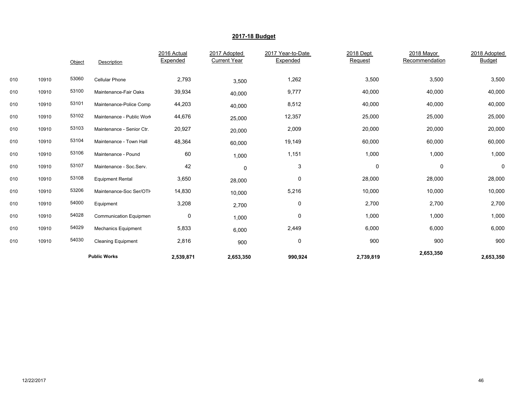|     |       | Object | Description                | 2016 Actual<br>Expended | 2017 Adopted<br><b>Current Year</b> | 2017 Year-to-Date<br>Expended | 2018 Dept<br>Request | 2018 Mayor<br>Recommendation | 2018 Adopted<br><b>Budget</b> |
|-----|-------|--------|----------------------------|-------------------------|-------------------------------------|-------------------------------|----------------------|------------------------------|-------------------------------|
| 010 | 10910 | 53060  | <b>Cellular Phone</b>      | 2,793                   | 3,500                               | 1,262                         | 3,500                | 3,500                        | 3,500                         |
| 010 | 10910 | 53100  | Maintenance-Fair Oaks      | 39,934                  | 40,000                              | 9,777                         | 40,000               | 40,000                       | 40,000                        |
| 010 | 10910 | 53101  | Maintenance-Police Comp    | 44,203                  | 40,000                              | 8,512                         | 40,000               | 40,000                       | 40,000                        |
| 010 | 10910 | 53102  | Maintenance - Public Work  | 44,676                  | 25,000                              | 12,357                        | 25,000               | 25,000                       | 25,000                        |
| 010 | 10910 | 53103  | Maintenance - Senior Ctr.  | 20,927                  | 20,000                              | 2,009                         | 20,000               | 20,000                       | 20,000                        |
| 010 | 10910 | 53104  | Maintenance - Town Hall    | 48,364                  | 60,000                              | 19,149                        | 60,000               | 60,000                       | 60,000                        |
| 010 | 10910 | 53106  | Maintenance - Pound        | 60                      | 1,000                               | 1,151                         | 1,000                | 1,000                        | 1,000                         |
| 010 | 10910 | 53107  | Maintenance - Soc.Serv.    | 42                      | 0                                   | 3                             | 0                    | 0                            | 0                             |
| 010 | 10910 | 53108  | <b>Equipment Rental</b>    | 3,650                   | 28,000                              | 0                             | 28,000               | 28,000                       | 28,000                        |
| 010 | 10910 | 53206  | Maintenance-Soc Ser/OTH    | 14,830                  | 10,000                              | 5,216                         | 10,000               | 10,000                       | 10,000                        |
| 010 | 10910 | 54000  | Equipment                  | 3,208                   | 2,700                               | 0                             | 2,700                | 2,700                        | 2,700                         |
| 010 | 10910 | 54028  | Communication Equipmen     | 0                       | 1,000                               | 0                             | 1,000                | 1,000                        | 1,000                         |
| 010 | 10910 | 54029  | <b>Mechanics Equipment</b> | 5,833                   | 6,000                               | 2,449                         | 6,000                | 6,000                        | 6,000                         |
| 010 | 10910 | 54030  | <b>Cleaning Equipment</b>  | 2,816                   | 900                                 | $\mathbf 0$                   | 900                  | 900                          | 900                           |
|     |       |        | <b>Public Works</b>        | 2,539,871               | 2,653,350                           | 990,924                       | 2,739,819            | 2,653,350                    | 2,653,350                     |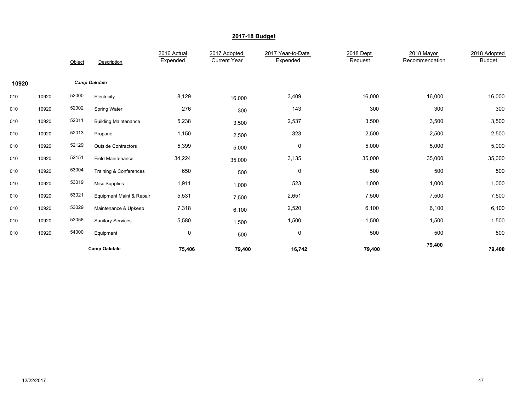|       |       | Object | Description                 | 2016 Actual<br>Expended | 2017 Adopted<br><b>Current Year</b> | 2017 Year-to-Date<br>Expended | 2018 Dept<br>Request | 2018 Mayor<br>Recommendation | 2018 Adopted<br><b>Budget</b> |
|-------|-------|--------|-----------------------------|-------------------------|-------------------------------------|-------------------------------|----------------------|------------------------------|-------------------------------|
| 10920 |       |        | <b>Camp Oakdale</b>         |                         |                                     |                               |                      |                              |                               |
| 010   | 10920 | 52000  | Electricity                 | 8,129                   | 16,000                              | 3,409                         | 16,000               | 16,000                       | 16,000                        |
| 010   | 10920 | 52002  | Spring Water                | 276                     | 300                                 | 143                           | 300                  | 300                          | 300                           |
| 010   | 10920 | 52011  | <b>Building Maintenance</b> | 5,238                   | 3,500                               | 2,537                         | 3,500                | 3,500                        | 3,500                         |
| 010   | 10920 | 52013  | Propane                     | 1,150                   | 2,500                               | 323                           | 2,500                | 2,500                        | 2,500                         |
| 010   | 10920 | 52129  | <b>Outside Contractors</b>  | 5,399                   | 5,000                               | 0                             | 5,000                | 5,000                        | 5,000                         |
| 010   | 10920 | 52151  | <b>Field Maintenance</b>    | 34,224                  | 35,000                              | 3,135                         | 35,000               | 35,000                       | 35,000                        |
| 010   | 10920 | 53004  | Training & Conferences      | 650                     | 500                                 | $\mathbf 0$                   | 500                  | 500                          | 500                           |
| 010   | 10920 | 53019  | <b>Misc Supplies</b>        | 1,911                   | 1,000                               | 523                           | 1,000                | 1,000                        | 1,000                         |
| 010   | 10920 | 53021  | Equipment Maint & Repair    | 5,531                   | 7,500                               | 2,651                         | 7,500                | 7,500                        | 7,500                         |
| 010   | 10920 | 53029  | Maintenance & Upkeep        | 7,318                   | 6,100                               | 2,520                         | 6,100                | 6,100                        | 6,100                         |
| 010   | 10920 | 53058  | <b>Sanitary Services</b>    | 5,580                   | 1,500                               | 1,500                         | 1,500                | 1,500                        | 1,500                         |
| 010   | 10920 | 54000  | Equipment                   | $\pmb{0}$               | 500                                 | $\pmb{0}$                     | 500                  | 500                          | 500                           |
|       |       |        | <b>Camp Oakdale</b>         | 75,406                  | 79,400                              | 16,742                        | 79,400               | 79,400                       | 79,400                        |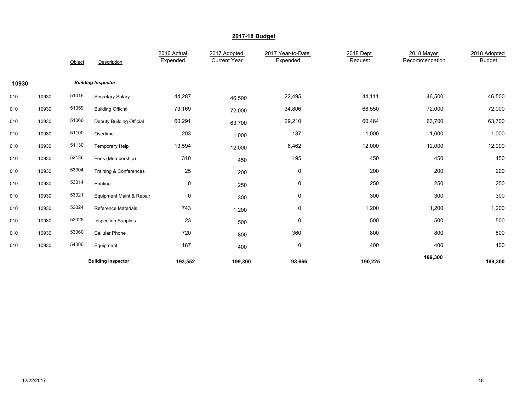|       |       | Object | Description                | 2016 Actual<br>Expended | 2017 Adopted<br><b>Current Year</b> | 2017 Year-to-Date<br>Expended | 2018 Dept<br>Request | 2018 Mayor<br>Recommendation | 2018 Adopted<br><b>Budget</b> |
|-------|-------|--------|----------------------------|-------------------------|-------------------------------------|-------------------------------|----------------------|------------------------------|-------------------------------|
| 10930 |       |        | <b>Building Inspector</b>  |                         |                                     |                               |                      |                              |                               |
| 010   | 10930 | 51016  | Secretary Salary           | 44,287                  | 46,500                              | 22,495                        | 44,111               | 46,500                       | 46,500                        |
| 010   | 10930 | 51059  | <b>Building Official</b>   | 73,169                  | 72,000                              | 34,806                        | 68,550               | 72,000                       | 72,000                        |
| 010   | 10930 | 51060  | Deputy Building Official   | 60,291                  | 63,700                              | 29,210                        | 60,464               | 63,700                       | 63,700                        |
| 010   | 10930 | 51100  | Overtime                   | 203                     | 1,000                               | 137                           | 1,000                | 1,000                        | 1,000                         |
| 010   | 10930 | 51130  | Temporary Help             | 13,594                  | 12,000                              | 6,462                         | 12,000               | 12,000                       | 12,000                        |
| 010   | 10930 | 52136  | Fees (Membership)          | 310                     | 450                                 | 195                           | 450                  | 450                          | 450                           |
| 010   | 10930 | 53004  | Training & Conferences     | 25                      | 200                                 | 0                             | 200                  | 200                          | 200                           |
| 010   | 10930 | 53014  | Printing                   | 0                       | 250                                 | 0                             | 250                  | 250                          | 250                           |
| 010   | 10930 | 53021  | Equipment Maint & Repair   | $\pmb{0}$               | 300                                 | $\mathbf 0$                   | 300                  | 300                          | 300                           |
| 010   | 10930 | 53024  | <b>Reference Materials</b> | 743                     | 1,200                               | $\mathbf 0$                   | 1,200                | 1,200                        | 1,200                         |
| 010   | 10930 | 53025  | <b>Inspection Supplies</b> | 23                      | 500                                 | $\mathbf 0$                   | 500                  | 500                          | 500                           |
| 010   | 10930 | 53060  | <b>Cellular Phone</b>      | 720                     | 800                                 | 360                           | 800                  | 800                          | 800                           |
| 010   | 10930 | 54000  | Equipment                  | 187                     | 400                                 | $\mathbf 0$                   | 400                  | 400                          | 400                           |
|       |       |        | <b>Building Inspector</b>  | 193,552                 | 199,300                             | 93,666                        | 190,225              | 199,300                      | 199,300                       |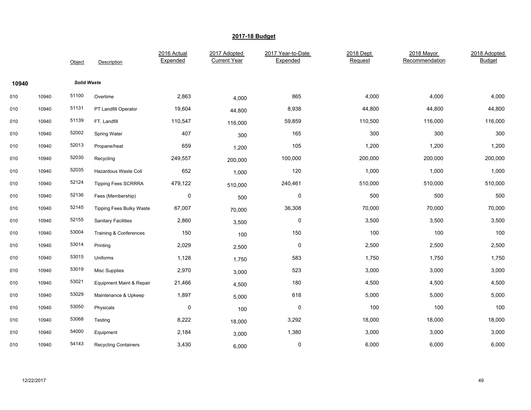|       |       | Object             | Description                     | 2016 Actual<br>Expended | 2017 Adopted<br><b>Current Year</b> | 2017 Year-to-Date<br>Expended | 2018 Dept<br>Request | 2018 Mayor<br>Recommendation | 2018 Adopted<br><b>Budget</b> |
|-------|-------|--------------------|---------------------------------|-------------------------|-------------------------------------|-------------------------------|----------------------|------------------------------|-------------------------------|
| 10940 |       | <b>Solid Waste</b> |                                 |                         |                                     |                               |                      |                              |                               |
| 010   | 10940 | 51100              | Overtime                        | 2,863                   | 4,000                               | 865                           | 4,000                | 4,000                        | 4,000                         |
| 010   | 10940 | 51131              | PT Landfill Operator            | 19,604                  | 44,800                              | 8,938                         | 44,800               | 44,800                       | 44,800                        |
| 010   | 10940 | 51139              | FT. Landfill                    | 110,547                 | 116,000                             | 59,859                        | 110,500              | 116,000                      | 116,000                       |
| 010   | 10940 | 52002              | Spring Water                    | 407                     | 300                                 | 165                           | 300                  | 300                          | 300                           |
| 010   | 10940 | 52013              | Propane/heat                    | 659                     | 1,200                               | 105                           | 1,200                | 1,200                        | 1,200                         |
| 010   | 10940 | 52030              | Recycling                       | 249,557                 | 200,000                             | 100,000                       | 200,000              | 200,000                      | 200,000                       |
| 010   | 10940 | 52035              | Hazardous Waste Coll            | 652                     | 1,000                               | 120                           | 1,000                | 1,000                        | 1,000                         |
| 010   | 10940 | 52124              | <b>Tipping Fees SCRRRA</b>      | 479,122                 | 510,000                             | 240,461                       | 510,000              | 510,000                      | 510,000                       |
| 010   | 10940 | 52136              | Fees (Membership)               | 0                       | 500                                 | 0                             | 500                  | 500                          | 500                           |
| 010   | 10940 | 52145              | <b>Tipping Fees Bulky Waste</b> | 67,007                  | 70,000                              | 36,308                        | 70,000               | 70,000                       | 70,000                        |
| 010   | 10940 | 52155              | <b>Sanitary Facilities</b>      | 2,860                   | 3,500                               | 0                             | 3,500                | 3,500                        | 3,500                         |
| 010   | 10940 | 53004              | Training & Conferences          | 150                     | 100                                 | 150                           | 100                  | 100                          | 100                           |
| 010   | 10940 | 53014              | Printing                        | 2,029                   | 2,500                               | 0                             | 2,500                | 2,500                        | 2,500                         |
| 010   | 10940 | 53015              | Uniforms                        | 1,128                   | 1,750                               | 583                           | 1,750                | 1,750                        | 1,750                         |
| 010   | 10940 | 53019              | <b>Misc Supplies</b>            | 2,970                   | 3,000                               | 523                           | 3,000                | 3,000                        | 3,000                         |
| 010   | 10940 | 53021              | Equipment Maint & Repair        | 21,466                  | 4,500                               | 180                           | 4,500                | 4,500                        | 4,500                         |
| 010   | 10940 | 53029              | Maintenance & Upkeep            | 1,897                   | 5,000                               | 618                           | 5,000                | 5,000                        | 5,000                         |
| 010   | 10940 | 53050              | Physicals                       | $\pmb{0}$               | 100                                 | 0                             | 100                  | 100                          | 100                           |
| 010   | 10940 | 53068              | Testing                         | 8,222                   | 18,000                              | 3,292                         | 18,000               | 18,000                       | 18,000                        |
| 010   | 10940 | 54000              | Equipment                       | 2,184                   | 3,000                               | 1,380                         | 3,000                | 3,000                        | 3,000                         |
| 010   | 10940 | 54143              | Recycling Containers            | 3,430                   | 6,000                               | 0                             | 6,000                | 6,000                        | 6,000                         |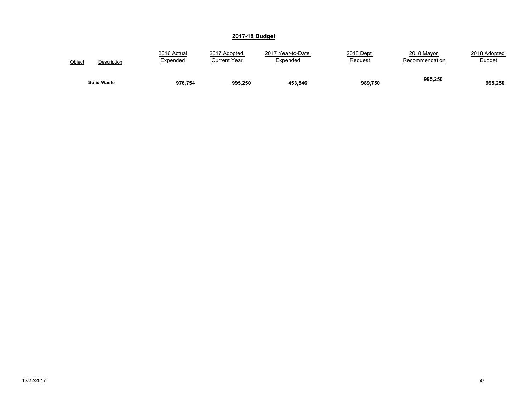| Object             | 2016 Actual | 2017 Adopted | 2017 Year-to-Date | 2018 Dept | 2018 Mayor     | 2018 Adopted  |
|--------------------|-------------|--------------|-------------------|-----------|----------------|---------------|
| Description        | Expended    | Current Year | Expended          | Request   | Recommendation | <b>Budget</b> |
| <b>Solid Waste</b> | 976.754     | 995,250      | 453,546           | 989,750   | 995,250        | 995,250       |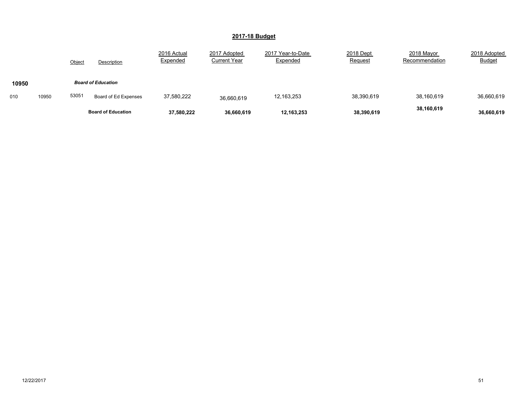|       |       | Object                    | <b>Description</b>        | 2016 Actual<br>Expended | 2017 Adopted<br><b>Current Year</b> | 2017 Year-to-Date<br>Expended | 2018 Dept<br>Request | 2018 Mayor<br>Recommendation | 2018 Adopted<br><b>Budget</b> |
|-------|-------|---------------------------|---------------------------|-------------------------|-------------------------------------|-------------------------------|----------------------|------------------------------|-------------------------------|
| 10950 |       |                           | <b>Board of Education</b> |                         |                                     |                               |                      |                              |                               |
| 010   | 10950 | 53051                     | Board of Ed Expenses      | 37,580,222              | 36,660,619                          | 12,163,253                    | 38,390,619           | 38,160,619                   | 36,660,619                    |
|       |       | <b>Board of Education</b> |                           | 37,580,222              | 36,660,619                          | 12,163,253                    | 38,390,619           | 38,160,619                   | 36,660,619                    |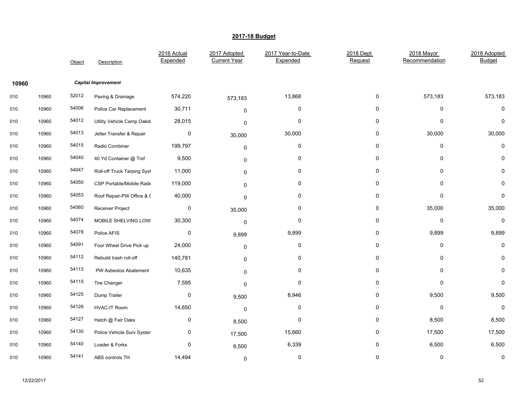|       |       | Object | Description                 | 2016 Actual<br>Expended | 2017 Adopted<br><b>Current Year</b> | 2017 Year-to-Date<br>Expended | 2018 Dept<br>Request | 2018 Mayor<br>Recommendation | 2018 Adopted<br><b>Budget</b> |
|-------|-------|--------|-----------------------------|-------------------------|-------------------------------------|-------------------------------|----------------------|------------------------------|-------------------------------|
| 10960 |       |        | <b>Capital Improvement</b>  |                         |                                     |                               |                      |                              |                               |
| 010   | 10960 | 52012  | Paving & Drainage           | 574,220                 | 573,183                             | 13,868                        | 0                    | 573,183                      | 573,183                       |
| 010   | 10960 | 54006  | Police Car Replacement      | 30,711                  | 0                                   | 0                             | 0                    | 0                            | $\mathbf{0}$                  |
| 010   | 10960 | 54012  | Utility Vehicle Camp Oakda  | 28,015                  | 0                                   | 0                             | 0                    | 0                            | $\mathbf{0}$                  |
| 010   | 10960 | 54013  | Jetter Transfer & Repair    | 0                       | 30,000                              | 30,000                        | 0                    | 30,000                       | 30,000                        |
| 010   | 10960 | 54015  | Radio Combiner              | 199,797                 | 0                                   | 0                             | 0                    | 0                            | 0                             |
| 010   | 10960 | 54040  | 40 Yd Container @ Trsf      | 9,500                   | 0                                   | 0                             | 0                    | 0                            | 0                             |
| 010   | 10960 | 54047  | Roll-off Truck Tarping Syst | 11,000                  | $\mathbf 0$                         | 0                             | 0                    | $\Omega$                     | 0                             |
| 010   | 10960 | 54050  | CSP Portable/Mobile Radio   | 119,000                 | $\mathbf 0$                         | 0                             | 0                    | $\Omega$                     | 0                             |
| 010   | 10960 | 54053  | Roof Repair-PW Office & C   | 40,000                  | $\mathbf 0$                         | 0                             | 0                    | $\Omega$                     | 0                             |
| 010   | 10960 | 54060  | Receiver Project            | 0                       | 35,000                              | 0                             | 0                    | 35,000                       | 35,000                        |
| 010   | 10960 | 54074  | MOBILE SHELVING LOWI        | 30,300                  | $\mathsf 0$                         | 0                             | 0                    | 0                            | 0                             |
| 010   | 10960 | 54078  | Police AFIS                 | 0                       | 9,899                               | 9,899                         | 0                    | 9,899                        | 9,899                         |
| 010   | 10960 | 54091  | Four Wheel Drive Pick up    | 24,000                  | 0                                   | 0                             | 0                    | 0                            | 0                             |
| 010   | 10960 | 54112  | Rebuild trash roll-off      | 140,781                 | 0                                   | 0                             | 0                    | 0                            | 0                             |
| 010   | 10960 | 54113  | PW Asbestos Abatement       | 10,635                  | $\mathbf 0$                         | 0                             | 0                    | 0                            | 0                             |
| 010   | 10960 | 54115  | Tire Changer                | 7,595                   | $\mathbf 0$                         | 0                             | 0                    | $\Omega$                     | $\mathbf 0$                   |
| 010   | 10960 | 54125  | Dump Trailer                | 0                       | 9,500                               | 8,946                         | 0                    | 9,500                        | 9,500                         |
| 010   | 10960 | 54126  | <b>HVAC-IT Room</b>         | 14,650                  | $\mathbf 0$                         | 0                             | 0                    | 0                            | $\mathbf 0$                   |
| 010   | 10960 | 54127  | Hatch @ Fair Oaks           | 0                       | 8,500                               | 0                             | 0                    | 8,500                        | 8,500                         |
| 010   | 10960 | 54130  | Police Vehicle Surv Systen  | 0                       | 17,500                              | 15,660                        | 0                    | 17,500                       | 17,500                        |
| 010   | 10960 | 54140  | Loader & Forks              | 0                       | 6,500                               | 6,339                         | 0                    | 6,500                        | 6,500                         |
| 010   | 10960 | 54141  | ABS controls TH             | 14,494                  | $\mathbf 0$                         | 0                             | 0                    | 0                            | 0                             |